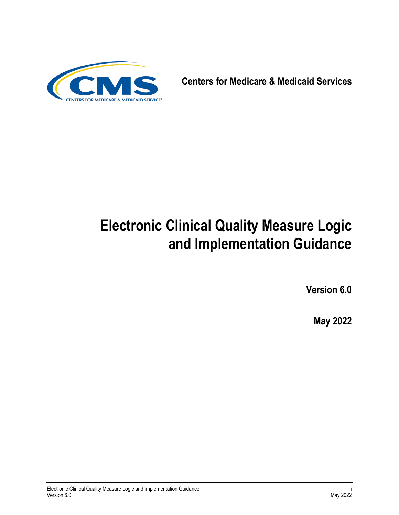

**Centers for Medicare & Medicaid Services**

# **Electronic Clinical Quality Measure Logic and Implementation Guidance**

**Version 6.0**

**May 2022**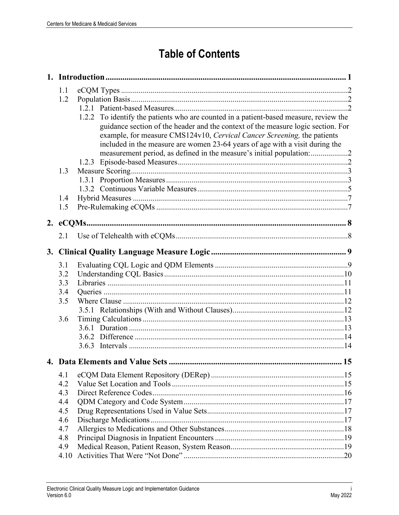# **Table of Contents**

| 1.1<br>1.2 | 1.2.2 To identify the patients who are counted in a patient-based measure, review the<br>guidance section of the header and the context of the measure logic section. For<br>example, for measure CMS124v10, Cervical Cancer Screening, the patients<br>included in the measure are women 23-64 years of age with a visit during the |     |
|------------|--------------------------------------------------------------------------------------------------------------------------------------------------------------------------------------------------------------------------------------------------------------------------------------------------------------------------------------|-----|
| 1.3        |                                                                                                                                                                                                                                                                                                                                      |     |
| 1.4<br>1.5 |                                                                                                                                                                                                                                                                                                                                      |     |
| 2. eCQMs   |                                                                                                                                                                                                                                                                                                                                      |     |
| 2.1        |                                                                                                                                                                                                                                                                                                                                      |     |
|            |                                                                                                                                                                                                                                                                                                                                      |     |
|            |                                                                                                                                                                                                                                                                                                                                      |     |
| 3.1<br>3.2 |                                                                                                                                                                                                                                                                                                                                      |     |
| 3.3        |                                                                                                                                                                                                                                                                                                                                      |     |
| 3.4        |                                                                                                                                                                                                                                                                                                                                      |     |
| 3.5        |                                                                                                                                                                                                                                                                                                                                      |     |
|            |                                                                                                                                                                                                                                                                                                                                      |     |
| 3.6        |                                                                                                                                                                                                                                                                                                                                      |     |
|            |                                                                                                                                                                                                                                                                                                                                      |     |
|            |                                                                                                                                                                                                                                                                                                                                      |     |
|            |                                                                                                                                                                                                                                                                                                                                      |     |
|            | 4. Data Elements and Value Sets                                                                                                                                                                                                                                                                                                      | .15 |
| 4.1        |                                                                                                                                                                                                                                                                                                                                      |     |
| 4.2        |                                                                                                                                                                                                                                                                                                                                      |     |
| 4.3        |                                                                                                                                                                                                                                                                                                                                      |     |
| 4.4        |                                                                                                                                                                                                                                                                                                                                      |     |
| 4.5        |                                                                                                                                                                                                                                                                                                                                      |     |
| 4.6        |                                                                                                                                                                                                                                                                                                                                      |     |
| 4.7        |                                                                                                                                                                                                                                                                                                                                      |     |
| 4.8        |                                                                                                                                                                                                                                                                                                                                      |     |
| 4.9        |                                                                                                                                                                                                                                                                                                                                      |     |
| 4.10       |                                                                                                                                                                                                                                                                                                                                      |     |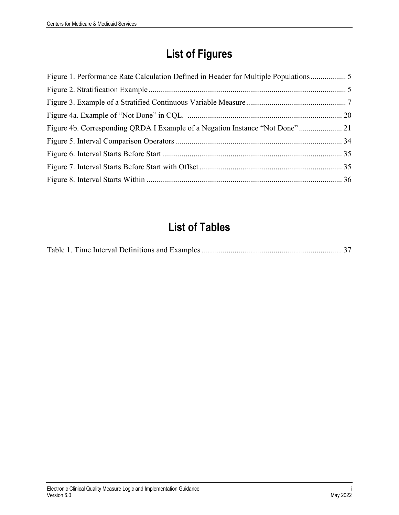# **List of Figures**

| Figure 1. Performance Rate Calculation Defined in Header for Multiple Populations |  |
|-----------------------------------------------------------------------------------|--|
|                                                                                   |  |
|                                                                                   |  |
|                                                                                   |  |
|                                                                                   |  |
|                                                                                   |  |
|                                                                                   |  |
|                                                                                   |  |
|                                                                                   |  |

# **List of Tables**

|--|--|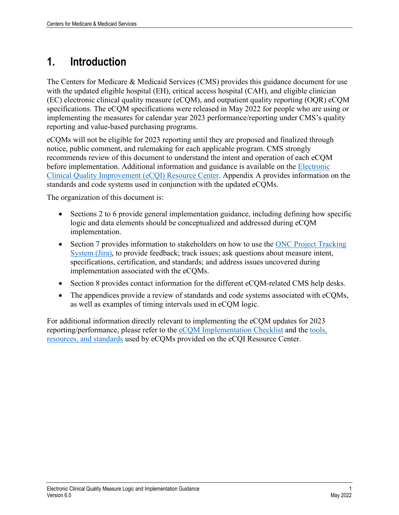# <span id="page-4-0"></span>**1. Introduction**

The Centers for Medicare & Medicaid Services (CMS) provides this guidance document for use with the updated eligible hospital (EH), critical access hospital (CAH), and eligible clinician (EC) electronic clinical quality measure (eCQM), and outpatient quality reporting (OQR) eCQM specifications. The eCQM specifications were released in May 2022 for people who are using or implementing the measures for calendar year 2023 performance/reporting under CMS's quality reporting and value-based purchasing programs.

eCQMs will not be eligible for 2023 reporting until they are proposed and finalized through notice, public comment, and rulemaking for each applicable program. CMS strongly recommends review of this document to understand the intent and operation of each eCQM before implementation. Additional information and guidance is available on the [Electronic](https://ecqi.healthit.gov/)  [Clinical Quality Improvement \(eCQI\) Resource Center.](https://ecqi.healthit.gov/) Appendix A provides information on the standards and code systems used in conjunction with the updated eCQMs.

The organization of this document is:

- Sections 2 to 6 provide general implementation guidance, including defining how specific logic and data elements should be conceptualized and addressed during eCQM implementation.
- Section 7 provides information to stakeholders on how to use the ONC Project Tracking [System \(Jira\),](https://oncprojectracking.healthit.gov/) to provide feedback; track issues; ask questions about measure intent, specifications, certification, and standards; and address issues uncovered during implementation associated with the eCQMs.
- Section 8 provides contact information for the different eCQM-related CMS help desks.
- The appendices provide a review of standards and code systems associated with eCQMs, as well as examples of timing intervals used in eCQM logic.

For additional information directly relevant to implementing the eCQM updates for 2023 reporting/performance, please refer to the [eCQM Implementation Checklist](https://ecqi.healthit.gov/ecqm-implementation-checklist) and the [tools,](https://ecqi.healthit.gov/ecqi-tools-key-resources)  [resources, and standards](https://ecqi.healthit.gov/ecqi-tools-key-resources) used by eCQMs provided on the eCQI Resource Center.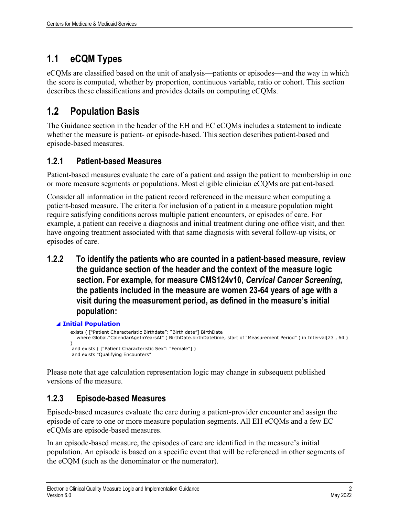## <span id="page-5-0"></span>**1.1 eCQM Types**

eCQMs are classified based on the unit of analysis—patients or episodes—and the way in which the score is computed, whether by proportion, continuous variable, ratio or cohort. This section describes these classifications and provides details on computing eCQMs.

## <span id="page-5-1"></span>**1.2 Population Basis**

The Guidance section in the header of the EH and EC eCQMs includes a statement to indicate whether the measure is patient- or episode-based. This section describes patient-based and episode-based measures.

### <span id="page-5-2"></span>**1.2.1 Patient-based Measures**

Patient-based measures evaluate the care of a patient and assign the patient to membership in one or more measure segments or populations. Most eligible clinician eCQMs are patient-based.

Consider all information in the patient record referenced in the measure when computing a patient-based measure. The criteria for inclusion of a patient in a measure population might require satisfying conditions across multiple patient encounters, or episodes of care. For example, a patient can receive a diagnosis and initial treatment during one office visit, and then have ongoing treatment associated with that same diagnosis with several follow-up visits, or episodes of care.

<span id="page-5-3"></span>**1.2.2 To identify the patients who are counted in a patient-based measure, review the guidance section of the header and the context of the measure logic section. For example, for measure CMS124v10,** *Cervical Cancer Screening,*  **the patients included in the measure are women 23-64 years of age with a visit during the measurement period, as defined in the measure's initial population:** 

### ◢ **Initial Population**

exists ( ["Patient Characteristic Birthdate": "Birth date"] BirthDate where Global."CalendarAgeInYearsAt" ( BirthDate.birthDatetime, start of "Measurement Period" ) in Interval[23 , 64 )  $\lambda$  and exists ( ["Patient Characteristic Sex": "Female"] ) and exists "Qualifying Encounters"

Please note that age calculation representation logic may change in subsequent published versions of the measure.

### <span id="page-5-4"></span>**1.2.3 Episode-based Measures**

Episode-based measures evaluate the care during a patient-provider encounter and assign the episode of care to one or more measure population segments. All EH eCQMs and a few EC eCQMs are episode-based measures.

In an episode-based measure, the episodes of care are identified in the measure's initial population. An episode is based on a specific event that will be referenced in other segments of the eCQM (such as the denominator or the numerator).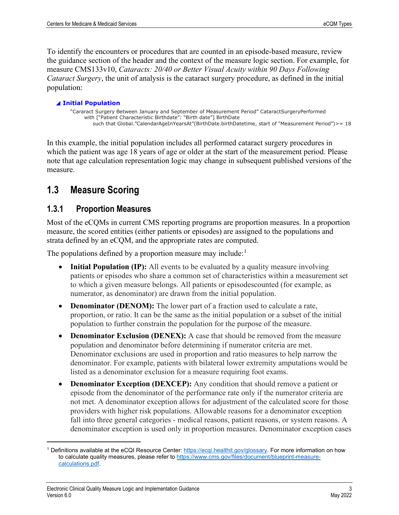To identify the encounters or procedures that are counted in an episode-based measure, review the guidance section of the header and the context of the measure logic section. For example, for measure CMS133v10, *Cataracts: 20/40 or Better Visual Acuity within 90 Days Following Cataract Surgery*, the unit of analysis is the cataract surgery procedure, as defined in the initial population:

#### ◢ **Initial Population**

"Cararact Surgery Between January and September of Measurement Period" CataractSurgeryPerformed with ["Patient Characteristic Birthdate": "Birth date"] BirthDate such that Global."CalendarAgeInYearsAt"(BirthDate.birthDatetime, start of "Measurement Period")>= 18

In this example, the initial population includes all performed cataract surgery procedures in which the patient was age 18 years of age or older at the start of the measurement period. Please note that age calculation representation logic may change in subsequent published versions of the measure.

### <span id="page-6-0"></span>**1.3 Measure Scoring**

### <span id="page-6-1"></span>**1.3.1 Proportion Measures**

Most of the eCQMs in current CMS reporting programs are proportion measures. In a proportion measure, the scored entities (either patients or episodes) are assigned to the populations and strata defined by an eCQM, and the appropriate rates are computed.

The populations defined by a proportion measure may include: $<sup>1</sup>$  $<sup>1</sup>$  $<sup>1</sup>$ </sup>

- **Initial Population (IP):** All events to be evaluated by a quality measure involving patients or episodes who share a common set of characteristics within a measurement set to which a given measure belongs. All patients or episodescounted (for example, as numerator, as denominator) are drawn from the initial population.
- **Denominator (DENOM):** The lower part of a fraction used to calculate a rate, proportion, or ratio. It can be the same as the initial population or a subset of the initial population to further constrain the population for the purpose of the measure.
- **Denominator Exclusion (DENEX):** A case that should be removed from the measure population and denominator before determining if numerator criteria are met. Denominator exclusions are used in proportion and ratio measures to help narrow the denominator. For example, patients with bilateral lower extremity amputations would be listed as a denominator exclusion for a measure requiring foot exams.
- **Denominator Exception (DEXCEP):** Any condition that should remove a patient or episode from the denominator of the performance rate only if the numerator criteria are not met. A denominator exception allows for adjustment of the calculated score for those providers with higher risk populations. Allowable reasons for a denominator exception fall into three general categories - medical reasons, patient reasons, or system reasons. A denominator exception is used only in proportion measures. Denominator exception cases

<span id="page-6-2"></span><sup>&</sup>lt;sup>1</sup> Definitions available at the eCQI Resource Center: [https://ecqi.healthit.gov/glossary.](https://ecqi.healthit.gov/glossary) For more information on how to calculate quality measures, please refer to [https://www.cms.gov/files/document/blueprint-measure](https://www.cms.gov/files/document/blueprint-measure-calculations.pdf)[calculations.pdf.](https://www.cms.gov/files/document/blueprint-measure-calculations.pdf)

Electronic Clinical Quality Measure Logic and Implementation Guidance 3 Version 6.0 May 2022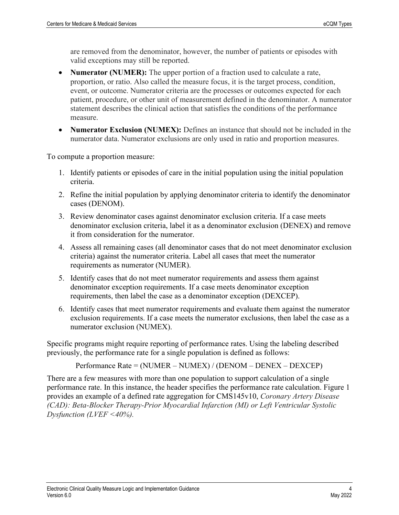are removed from the denominator, however, the number of patients or episodes with valid exceptions may still be reported.

- **Numerator (NUMER):** The upper portion of a fraction used to calculate a rate, proportion, or ratio. Also called the measure focus, it is the target process, condition, event, or outcome. Numerator criteria are the processes or outcomes expected for each patient, procedure, or other unit of measurement defined in the denominator. A numerator statement describes the clinical action that satisfies the conditions of the performance measure.
- **Numerator Exclusion (NUMEX):** Defines an instance that should not be included in the numerator data. Numerator exclusions are only used in ratio and proportion measures.

To compute a proportion measure:

- 1. Identify patients or episodes of care in the initial population using the initial population criteria.
- 2. Refine the initial population by applying denominator criteria to identify the denominator cases (DENOM).
- 3. Review denominator cases against denominator exclusion criteria. If a case meets denominator exclusion criteria, label it as a denominator exclusion (DENEX) and remove it from consideration for the numerator.
- 4. Assess all remaining cases (all denominator cases that do not meet denominator exclusion criteria) against the numerator criteria. Label all cases that meet the numerator requirements as numerator (NUMER).
- 5. Identify cases that do not meet numerator requirements and assess them against denominator exception requirements. If a case meets denominator exception requirements, then label the case as a denominator exception (DEXCEP).
- 6. Identify cases that meet numerator requirements and evaluate them against the numerator exclusion requirements. If a case meets the numerator exclusions, then label the case as a numerator exclusion (NUMEX).

Specific programs might require reporting of performance rates. Using the labeling described previously, the performance rate for a single population is defined as follows:

Performance Rate = (NUMER – NUMEX) / (DENOM – DENEX – DEXCEP)

There are a few measures with more than one population to support calculation of a single performance rate. In this instance, the header specifies the performance rate calculation. Figure 1 provides an example of a defined rate aggregation for CMS145v10, *Coronary Artery Disease (CAD): Beta-Blocker Therapy-Prior Myocardial Infarction (MI) or Left Ventricular Systolic Dysfunction (LVEF <40%).*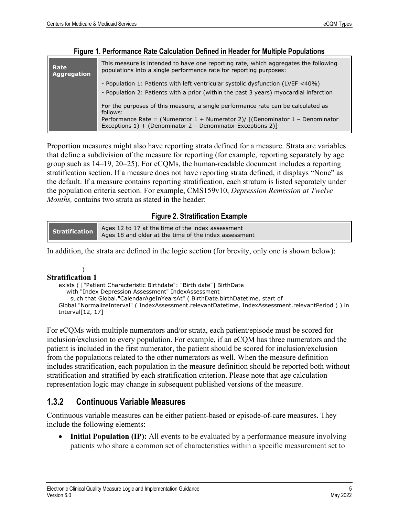<span id="page-8-1"></span>

| Rate<br><b>Aggregation</b> | This measure is intended to have one reporting rate, which aggregates the following<br>populations into a single performance rate for reporting purposes:                                                                                    |  |  |  |  |
|----------------------------|----------------------------------------------------------------------------------------------------------------------------------------------------------------------------------------------------------------------------------------------|--|--|--|--|
|                            | - Population 1: Patients with left ventricular systolic dysfunction (LVEF <40%)<br>- Population 2: Patients with a prior (within the past 3 years) myocardial infarction                                                                     |  |  |  |  |
|                            | For the purposes of this measure, a single performance rate can be calculated as<br>follows:<br>Performance Rate = (Numerator 1 + Numerator 2)/ [(Denominator 1 - Denominator<br>Exceptions 1) + (Denominator 2 - Denominator Exceptions 2)] |  |  |  |  |

#### **Figure 1. Performance Rate Calculation Defined in Header for Multiple Populations**

Proportion measures might also have reporting strata defined for a measure. Strata are variables that define a subdivision of the measure for reporting (for example, reporting separately by age group such as 14–19, 20–25). For eCQMs, the human-readable document includes a reporting stratification section. If a measure does not have reporting strata defined, it displays "None" as the default. If a measure contains reporting stratification, each stratum is listed separately under the population criteria section. For example, CMS159v10, *Depression Remission at Twelve Months,* contains two strata as stated in the header:

#### **Figure 2. Stratification Example**

<span id="page-8-2"></span>

| Ages 12 to 17 at the time of the index assessment<br>Stratification<br>Ages 18 and older at the time of the index assessment |  |
|------------------------------------------------------------------------------------------------------------------------------|--|
|------------------------------------------------------------------------------------------------------------------------------|--|

In addition, the strata are defined in the logic section (for brevity, only one is shown below):

#### ) **Stratification 1**

exists ( ["Patient Characteristic Birthdate": "Birth date"] BirthDate with "Index Depression Assessment" IndexAssessment such that Global."CalendarAgeInYearsAt" ( BirthDate.birthDatetime, start of Global."NormalizeInterval" ( IndexAssessment.relevantDatetime, IndexAssessment.relevantPeriod ) ) in Interval[12, 17]

For eCQMs with multiple numerators and/or strata, each patient/episode must be scored for inclusion/exclusion to every population. For example, if an eCQM has three numerators and the patient is included in the first numerator, the patient should be scored for inclusion/exclusion from the populations related to the other numerators as well. When the measure definition includes stratification, each population in the measure definition should be reported both without stratification and stratified by each stratification criterion. Please note that age calculation representation logic may change in subsequent published versions of the measure.

### <span id="page-8-0"></span>**1.3.2 Continuous Variable Measures**

Continuous variable measures can be either patient-based or episode-of-care measures. They include the following elements:

• **Initial Population (IP):** All events to be evaluated by a performance measure involving patients who share a common set of characteristics within a specific measurement set to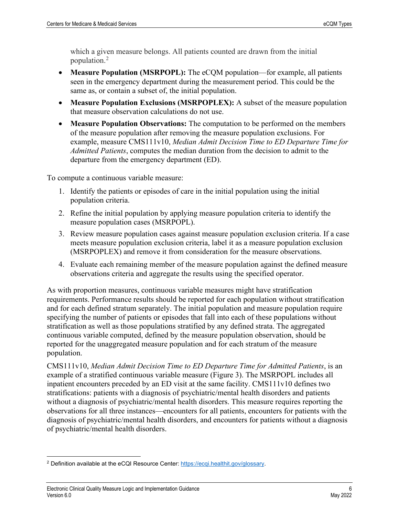which a given measure belongs. All patients counted are drawn from the initial population.[2](#page-9-0)

- **Measure Population (MSRPOPL):** The eCQM population—for example, all patients seen in the emergency department during the measurement period. This could be the same as, or contain a subset of, the initial population.
- **Measure Population Exclusions (MSRPOPLEX):** A subset of the measure population that measure observation calculations do not use.
- **Measure Population Observations:** The computation to be performed on the members of the measure population after removing the measure population exclusions. For example, measure CMS111v10, *Median Admit Decision Time to ED Departure Time for Admitted Patients*, computes the median duration from the decision to admit to the departure from the emergency department (ED).

To compute a continuous variable measure:

- 1. Identify the patients or episodes of care in the initial population using the initial population criteria.
- 2. Refine the initial population by applying measure population criteria to identify the measure population cases (MSRPOPL).
- 3. Review measure population cases against measure population exclusion criteria. If a case meets measure population exclusion criteria, label it as a measure population exclusion (MSRPOPLEX) and remove it from consideration for the measure observations.
- 4. Evaluate each remaining member of the measure population against the defined measure observations criteria and aggregate the results using the specified operator.

As with proportion measures, continuous variable measures might have stratification requirements. Performance results should be reported for each population without stratification and for each defined stratum separately. The initial population and measure population require specifying the number of patients or episodes that fall into each of these populations without stratification as well as those populations stratified by any defined strata. The aggregated continuous variable computed, defined by the measure population observation, should be reported for the unaggregated measure population and for each stratum of the measure population.

CMS111v10, *Median Admit Decision Time to ED Departure Time for Admitted Patients*, is an example of a stratified continuous variable measure (Figure 3). The MSRPOPL includes all inpatient encounters preceded by an ED visit at the same facility. CMS111v10 defines two stratifications: patients with a diagnosis of psychiatric/mental health disorders and patients without a diagnosis of psychiatric/mental health disorders. This measure requires reporting the observations for all three instances—encounters for all patients, encounters for patients with the diagnosis of psychiatric/mental health disorders, and encounters for patients without a diagnosis of psychiatric/mental health disorders.

<span id="page-9-0"></span><sup>2</sup> Definition available at the eCQI Resource Center: [https://ecqi.healthit.gov/glossary.](https://ecqi.healthit.gov/glossary)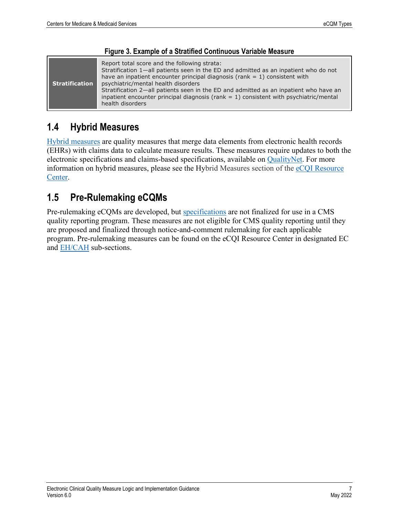| <b>Stratification</b> | Report total score and the following strata:<br>Stratification 1-all patients seen in the ED and admitted as an inpatient who do not<br>have an inpatient encounter principal diagnosis (rank $= 1$ ) consistent with<br>psychiatric/mental health disorders |
|-----------------------|--------------------------------------------------------------------------------------------------------------------------------------------------------------------------------------------------------------------------------------------------------------|
|                       | Stratification 2—all patients seen in the ED and admitted as an inpatient who have an<br>inpatient encounter principal diagnosis ( $rank = 1$ ) consistent with psychiatric/mental<br>health disorders                                                       |

#### **Figure 3. Example of a Stratified Continuous Variable Measure**

## **1.4 Hybrid Measures**

[Hybrid measures](https://ecqi.healthit.gov/eh-cah?qt-tabs_eh=3&globalyearfilter=2021) are quality measures that merge data elements from electronic health records (EHRs) with claims data to calculate measure results. These measures require updates to both the electronic specifications and claims-based specifications, available on [QualityNet.](https://qualitynet.cms.gov/) For more information on hybrid measures, please see the Hybrid Measures section of the [eCQI Resource](https://ecqi.healthit.gov/eh-cah?qt-tabs_eh=3&globalyearfilter=2316)  [Center.](https://ecqi.healthit.gov/eh-cah?qt-tabs_eh=3&globalyearfilter=2316)

## **1.5 Pre-Rulemaking eCQMs**

Pre-rulemaking eCQMs are developed, but [specifications](https://ecqi.healthit.gov/glossary/specification) are not finalized for use in a CMS quality reporting program. These measures are not eligible for CMS quality reporting until they are proposed and finalized through notice-and-comment rulemaking for each applicable program. Pre-rulemaking measures can be found on the eCQI Resource Center in designated EC and [EH/CAH](https://ecqi.healthit.gov/pre-rulemaking-eh-cah-ecqms) sub-sections.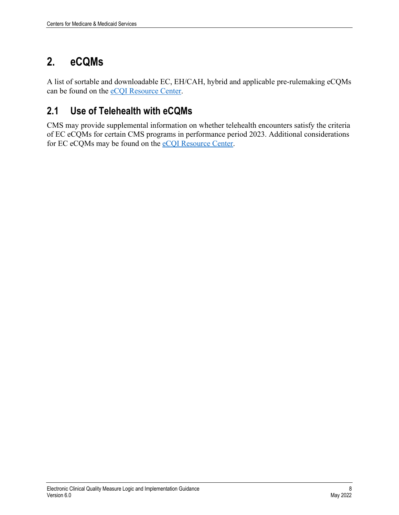# <span id="page-11-0"></span>**2. eCQMs**

A list of sortable and downloadable EC, EH/CAH, hybrid and applicable pre-rulemaking eCQMs can be found on the [eCQI Resource Center.](https://ecqi.healthit.gov/)

## <span id="page-11-1"></span>**2.1 Use of Telehealth with eCQMs**

CMS may provide supplemental information on whether telehealth encounters satisfy the criteria of EC eCQMs for certain CMS programs in performance period 2023. Additional considerations for EC eCQMs may be found on the [eCQI Resource Center.](https://ecqi.healthit.gov/)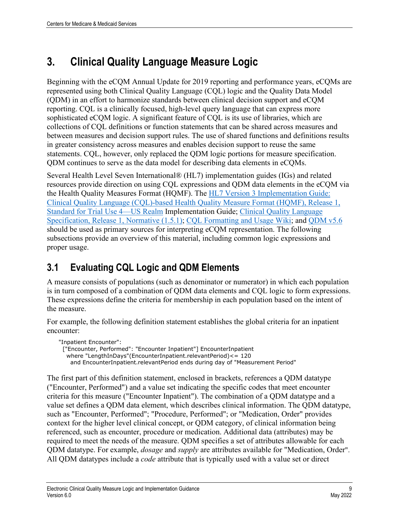# <span id="page-12-0"></span>**3. Clinical Quality Language Measure Logic**

Beginning with the eCQM Annual Update for 2019 reporting and performance years, eCQMs are represented using both Clinical Quality Language (CQL) logic and the Quality Data Model (QDM) in an effort to harmonize standards between clinical decision support and eCQM reporting. CQL is a clinically focused, high-level query language that can express more sophisticated eCQM logic. A significant feature of CQL is its use of libraries, which are collections of CQL definitions or function statements that can be shared across measures and between measures and decision support rules. The use of shared functions and definitions results in greater consistency across measures and enables decision support to reuse the same statements. CQL, however, only replaced the QDM logic portions for measure specification. QDM continues to serve as the data model for describing data elements in eCQMs.

Several Health Level Seven International® (HL7) implementation guides (IGs) and related resources provide direction on using CQL expressions and QDM data elements in the eCQM via the Health Quality Measures Format (HQMF). The [HL7 Version 3 Implementation Guide:](http://www.hl7.org/implement/standards/product_brief.cfm?product_id=405)  [Clinical Quality Language \(CQL\)-based Health Quality Measure Format \(HQMF\), Release 1,](http://www.hl7.org/implement/standards/product_brief.cfm?product_id=405)  [Standard for Trial Use 4—US Realm](http://www.hl7.org/implement/standards/product_brief.cfm?product_id=405) Implementation Guide; [Clinical Quality Language](https://cql.hl7.org/01-introduction.html)  [Specification, Release 1, Normative \(1.5.1\);](https://cql.hl7.org/01-introduction.html) [CQL Formatting and Usage Wiki;](https://github.com/esacinc/CQL-Formatting-and-Usage-Wiki) and [QDM v5.6](https://ecqi.healthit.gov/sites/default/files/QDM-v5.6-508.pdf) should be used as primary sources for interpreting eCQM representation. The following subsections provide an overview of this material, including common logic expressions and proper usage.

## <span id="page-12-1"></span>**3.1 Evaluating CQL Logic and QDM Elements**

A measure consists of populations (such as denominator or numerator) in which each population is in turn composed of a combination of QDM data elements and CQL logic to form expressions. These expressions define the criteria for membership in each population based on the intent of the measure.

For example, the following definition statement establishes the global criteria for an inpatient encounter:

"Inpatient Encounter": ["Encounter, Performed": "Encounter Inpatient"] EncounterInpatient where "LengthInDays"(EncounterInpatient.relevantPeriod)<= 120 and EncounterInpatient.relevantPeriod ends during day of "Measurement Period"

The first part of this definition statement, enclosed in brackets, references a QDM datatype ("Encounter, Performed") and a value set indicating the specific codes that meet encounter criteria for this measure ("Encounter Inpatient"). The combination of a QDM datatype and a value set defines a QDM data element, which describes clinical information. The QDM datatype, such as "Encounter, Performed"; "Procedure, Performed"; or "Medication, Order" provides context for the higher level clinical concept, or QDM category, of clinical information being referenced, such as encounter, procedure or medication. Additional data (attributes) may be required to meet the needs of the measure. QDM specifies a set of attributes allowable for each QDM datatype. For example, *dosage* and *supply* are attributes available for "Medication, Order". All QDM datatypes include a *code* attribute that is typically used with a value set or direct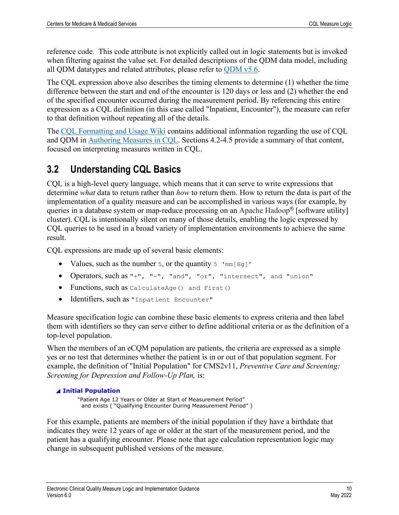reference code. This code attribute is not explicitly called out in logic statements but is invoked when filtering against the value set. For detailed descriptions of the QDM data model, including all QDM datatypes and related attributes, please refer to [QDM v5.6.](https://ecqi.healthit.gov/sites/default/files/QDM-v5.6-508.pdf)

The CQL expression above also describes the timing elements to determine (1) whether the time difference between the start and end of the encounter is 120 days or less and (2) whether the end of the specified encounter occurred during the measurement period. By referencing this entire expression as a CQL definition (in this case called "Inpatient, Encounter"), the measure can refer to that definition without repeating all of the details.

The [CQL Formatting and Usage Wiki](https://github.com/esacinc/CQL-Formatting-and-Usage-Wiki) contains additional information regarding the use of CQL and QDM in [Authoring Measures in CQL.](https://github.com/esacinc/CQL-Formatting-and-Usage-Wiki/wiki/Authoring-Measures-in-CQL) Sections 4.2-4.5 provide a summary of that content, focused on interpreting measures written in CQL.

## <span id="page-13-0"></span>**3.2 Understanding CQL Basics**

CQL is a high-level query language, which means that it can serve to write expressions that determine *what* data to return rather than *how* to return them. How to return the data is part of the implementation of a quality measure and can be accomplished in various ways (for example, by queries in a database system or map-reduce processing on an Apache Hadoop® [software utility] cluster). CQL is intentionally silent on many of those details, enabling the logic expressed by CQL queries to be used in a broad variety of implementation environments to achieve the same result.

CQL expressions are made up of several basic elements:

- Values, such as the number 5, or the quantity  $5 \text{ mm[Hg]}$
- Operators, such as "+", "-", "and", "or", "intersect", and "union"
- Functions, such as CalculateAge() and First()
- Identifiers, such as "Inpatient Encounter"

Measure specification logic can combine these basic elements to express criteria and then label them with identifiers so they can serve either to define additional criteria or as the definition of a top-level population.

When the members of an eCQM population are patients, the criteria are expressed as a simple yes or no test that determines whether the patient is in or out of that population segment. For example, the definition of "Initial Population" for CMS2v11, *Preventive Care and Screening: Screening for Depression and Follow-Up Plan,* is:

#### ◢ **Initial Population**

 "Patient Age 12 Years or Older at Start of Measurement Period" and exists ( "Qualifying Encounter During Measurement Period" )

For this example, patients are members of the initial population if they have a birthdate that indicates they were 12 years of age or older at the start of the measurement period, and the patient has a qualifying encounter. Please note that age calculation representation logic may change in subsequent published versions of the measure.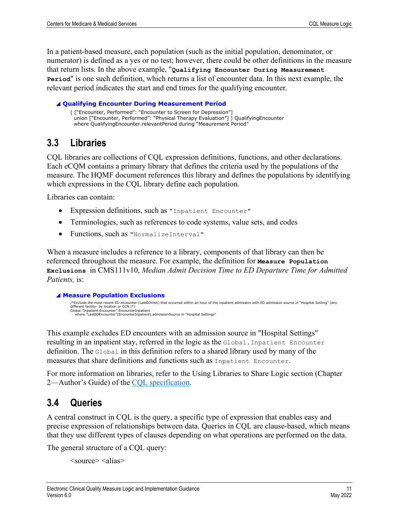In a patient-based measure, each population (such as the initial population, denominator, or numerator) is defined as a yes or no test; however, there could be other definitions in the measure that return lists. In the above example, "**Qualifying Encounter During Measurement Period**" is one such definition, which returns a list of encounter data. In this next example, the relevant period indicates the start and end times for the qualifying encounter.

#### ◢ **Qualifying Encounter During Measurement Period**

( ["Encounter, Performed": "Encounter to Screen for Depression"] union ["Encounter, Performed": "Physical Therapy Evaluation"] ) QualifyingEncounter where QualifyingEncounter.relevantPeriod during "Meaurement Period"

### <span id="page-14-0"></span>**3.3 Libraries**

CQL libraries are collections of CQL expression definitions, functions, and other declarations. Each eCQM contains a primary library that defines the criteria used by the populations of the measure. The HQMF document references this library and defines the populations by identifying which expressions in the CQL library define each population.

Libraries can contain:

- Expression definitions, such as "Inpatient Encounter"
- Terminologies, such as references to code systems, value sets, and codes
- Functions, such as "NormalizeInterval"

When a measure includes a reference to a library, components of that library can then be referenced throughout the measure. For example, the definition for **Measure Population Exclusions** in CMS111v10, *Median Admit Decision Time to ED Departure Time for Admitted Patients,* is:

◢ **Measure Population Exclusions**

```
/*Exclude the most recent ED encounter (LastEDVisit) that occurred within an hour of the inpatient admission with ED admission source in "Hospital Setting" (any
different facility- by location or CCN )*/
Global."Inpatient Encounter" EncounterInpatient
    where "LastEDEncounter"(EncounterInpatient).admissionSource in "Hospital Settings"
```
This example excludes ED encounters with an admission source in "Hospital Settings" resulting in an inpatient stay, referred in the logic as the Global.Inpatient Encounter definition. The Global in this definition refers to a shared library used by many of the measures that share definitions and functions such as Inpatient Encounter.

For more information on libraries, refer to the Using Libraries to Share Logic section (Chapter 2—Author's Guide) of the [CQL specification.](https://cql.hl7.org/02-authorsguide.html#using-libraries-to-share-logic)

### <span id="page-14-1"></span>**3.4 Queries**

A central construct in CQL is the query, a specific type of expression that enables easy and precise expression of relationships between data. Queries in CQL are clause-based, which means that they use different types of clauses depending on what operations are performed on the data.

The general structure of a CQL query:

<source> <alias>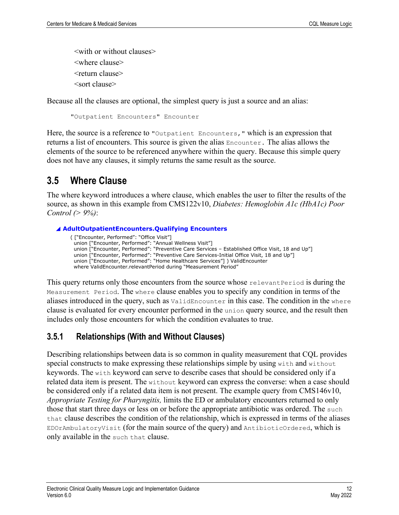<with or without clauses> <where clause> <return clause> <sort clause>

Because all the clauses are optional, the simplest query is just a source and an alias:

"Outpatient Encounters" Encounter

Here, the source is a reference to "*Outpatient Encounters*," which is an expression that returns a list of encounters. This source is given the alias Encounter. The alias allows the elements of the source to be referenced anywhere within the query. Because this simple query does not have any clauses, it simply returns the same result as the source.

### <span id="page-15-0"></span>**3.5 Where Clause**

The where keyword introduces a where clause, which enables the user to filter the results of the source, as shown in this example from CMS122v10, *Diabetes: Hemoglobin A1c (HbA1c) Poor Control (> 9%)*:

#### ◢ **AdultOutpatientEncounters.Qualifying Encounters**

( ["Encounter, Performed": "Office Visit"] union ["Encounter, Performed": "Annual Wellness Visit"] union ["Encounter, Performed": "Preventive Care Services – Established Office Visit, 18 and Up"] union ["Encounter, Performed": "Preventive Care Services-Initial Office Visit, 18 and Up"] union ["Encounter, Performed": "Home Healthcare Services"] ) ValidEncounter where ValidEncounter.relevantPeriod during "Measurement Period"

This query returns only those encounters from the source whose relevant Period is during the Measurement Period. The where clause enables you to specify any condition in terms of the aliases introduced in the query, such as ValidEncounter in this case. The condition in the where clause is evaluated for every encounter performed in the union query source, and the result then includes only those encounters for which the condition evaluates to true.

### <span id="page-15-1"></span>**3.5.1 Relationships (With and Without Clauses)**

Describing relationships between data is so common in quality measurement that CQL provides special constructs to make expressing these relationships simple by using with and without keywords. The with keyword can serve to describe cases that should be considered only if a related data item is present. The without keyword can express the converse: when a case should be considered only if a related data item is not present. The example query from CMS146v10, *Appropriate Testing for Pharyngitis,* limits the ED or ambulatory encounters returned to only those that start three days or less on or before the appropriate antibiotic was ordered. The such that clause describes the condition of the relationship, which is expressed in terms of the aliases EDOrAmbulatoryVisit (for the main source of the query) and AntibioticOrdered, which is only available in the such that clause.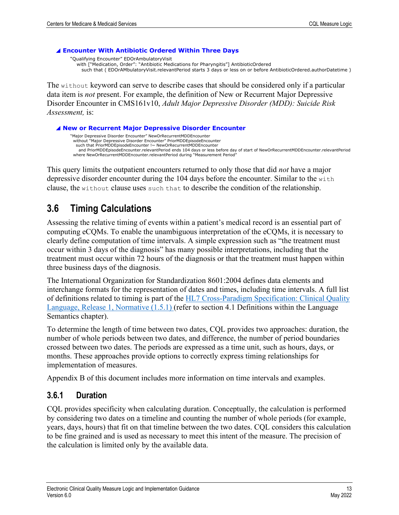#### ◢ **Encounter With Antibiotic Ordered Within Three Days**

"Qualifying Encounter" EDOrAmbulatoryVisit with ["Medication, Order": "Antibiotic Medications for Pharyngitis"] AntibioticOrdered such that ( EDOrAMbulatoryVisit.relevantPeriod starts 3 days or less on or before AntibioticOrdered.authorDatetime )

The without keyword can serve to describe cases that should be considered only if a particular data item is *not* present. For example, the definition of New or Recurrent Major Depressive Disorder Encounter in CMS161v10, *Adult Major Depressive Disorder (MDD): Suicide Risk Assessment,* is:

◢ **New or Recurrent Major Depressive Disorder Encounter**

"Major Depressive Disorder Encounter" NewOrRecurrentMDDEncounter without "Major Depressive Disorder Encounter" PriorMDDEpisodeEncounter such that PriorMDDEpisodeEncounter !~ NewOrRecurrentMDDEncounter and PriorMDDEpisodeEncounter.relevantPeriod ends 104 days or less before day of start of NewOrRecurrentMDDEncounter.relevantPeriod where NewOrRecurrentMDDEncounter.relevantPeriod during "Measurement Period"

This query limits the outpatient encounters returned to only those that did *not* have a major depressive disorder encounter during the 104 days before the encounter. Similar to the with clause, the without clause uses such that to describe the condition of the relationship.

### <span id="page-16-0"></span>**3.6 Timing Calculations**

Assessing the relative timing of events within a patient's medical record is an essential part of computing eCQMs. To enable the unambiguous interpretation of the eCQMs, it is necessary to clearly define computation of time intervals. A simple expression such as "the treatment must occur within 3 days of the diagnosis" has many possible interpretations, including that the treatment must occur within 72 hours of the diagnosis or that the treatment must happen within three business days of the diagnosis.

The International Organization for Standardization 8601:2004 defines data elements and interchange formats for the representation of dates and times, including time intervals. A full list of definitions related to timing is part of the [HL7 Cross-Paradigm Specification: Clinical Quality](https://cql.hl7.org/05-languagesemantics.html#definitions)  [Language, Release 1, Normative \(1.5.1\)](https://cql.hl7.org/05-languagesemantics.html#definitions) (refer to section 4.1 Definitions within the Language Semantics chapter).

To determine the length of time between two dates, CQL provides two approaches: duration, the number of whole periods between two dates, and difference, the number of period boundaries crossed between two dates. The periods are expressed as a time unit, such as hours, days, or months. These approaches provide options to correctly express timing relationships for implementation of measures.

Appendix B of this document includes more information on time intervals and examples.

### <span id="page-16-1"></span>**3.6.1 Duration**

CQL provides specificity when calculating duration. Conceptually, the calculation is performed by considering two dates on a timeline and counting the number of whole periods (for example, years, days, hours) that fit on that timeline between the two dates. CQL considers this calculation to be fine grained and is used as necessary to meet this intent of the measure. The precision of the calculation is limited only by the available data.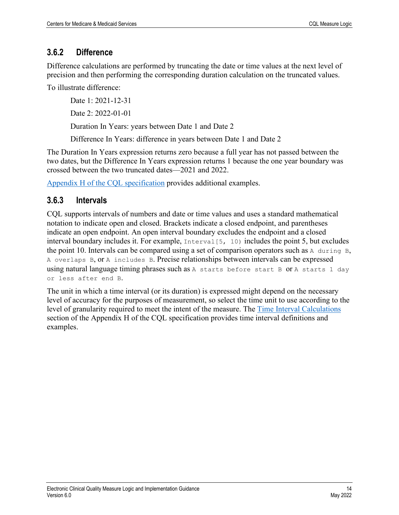### <span id="page-17-0"></span>**3.6.2 Difference**

Difference calculations are performed by truncating the date or time values at the next level of precision and then performing the corresponding duration calculation on the truncated values.

To illustrate difference:

Date 1: 2021-12-31 Date 2: 2022-01-01 Duration In Years: years between Date 1 and Date 2

Difference In Years: difference in years between Date 1 and Date 2

The Duration In Years expression returns zero because a full year has not passed between the two dates, but the Difference In Years expression returns 1 because the one year boundary was crossed between the two truncated dates––2021 and 2022.

[Appendix H of the CQL specification](https://cql.hl7.org/15-h-timeintervalcalculations.html) provides additional examples.

### <span id="page-17-1"></span>**3.6.3 Intervals**

CQL supports intervals of numbers and date or time values and uses a standard mathematical notation to indicate open and closed. Brackets indicate a closed endpoint, and parentheses indicate an open endpoint. An open interval boundary excludes the endpoint and a closed interval boundary includes it. For example, Interval[5, 10) includes the point 5, but excludes the point 10. Intervals can be compared using a set of comparison operators such as A during B, A overlaps B, or A includes B. Precise relationships between intervals can be expressed using natural language timing phrases such as A starts before start B or A starts 1 day or less after end B.

The unit in which a time interval (or its duration) is expressed might depend on the necessary level of accuracy for the purposes of measurement, so select the time unit to use according to the level of granularity required to meet the intent of the measure. The [Time Interval Calculations](https://cql.hl7.org/15-h-timeintervalcalculations.html) section of the Appendix H of the CQL specification provides time interval definitions and examples.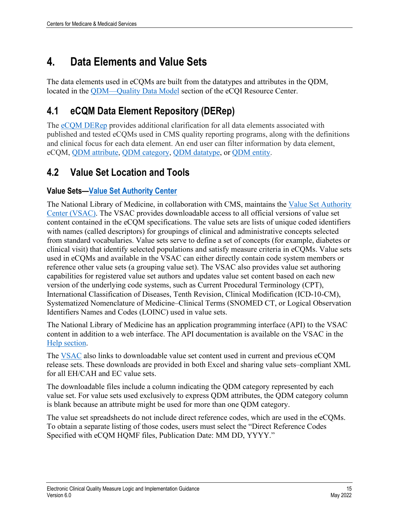# <span id="page-18-0"></span>**4. Data Elements and Value Sets**

The data elements used in eCQMs are built from the datatypes and attributes in the QDM, located in the [QDM—Quality Data Model](https://ecqi.healthit.gov/qdm) section of the eCQI Resource Center.

## <span id="page-18-1"></span>**4.1 eCQM Data Element Repository (DERep)**

The [eCQM DERep](https://ecqi.healthit.gov/mc-workspace-2/data-element-repository) provides additional clarification for all data elements associated with published and tested eCQMs used in CMS quality reporting programs, along with the definitions and clinical focus for each data element. An end user can filter information by data element, eCQM, QDM [attribute,](https://ecqi.healthit.gov/glossary/qdm-attribute) [QDM category,](https://ecqi.healthit.gov/glossary/qdm-category) [QDM datatype,](https://ecqi.healthit.gov/glossary/qdm-datatype) or [QDM entity.](https://ecqi.healthit.gov/glossary/qdm-entities)

## <span id="page-18-2"></span>**4.2 Value Set Location and Tools**

### **Value Sets[—Value Set Authority Center](https://vsac.nlm.nih.gov/)**

The National Library of Medicine, in collaboration with CMS, maintains the [Value Set Authority](https://vsac.nlm.nih.gov/)  [Center \(VSAC\).](https://vsac.nlm.nih.gov/) The VSAC provides downloadable access to all official versions of value set content contained in the eCQM specifications. The value sets are lists of unique coded identifiers with names (called descriptors) for groupings of clinical and administrative concepts selected from standard vocabularies. Value sets serve to define a set of concepts (for example, diabetes or clinical visit) that identify selected populations and satisfy measure criteria in eCQMs. Value sets used in eCQMs and available in the VSAC can either directly contain code system members or reference other value sets (a grouping value set). The VSAC also provides value set authoring capabilities for registered value set authors and updates value set content based on each new version of the underlying code systems, such as Current Procedural Terminology (CPT), International Classification of Diseases, Tenth Revision, Clinical Modification (ICD-10-CM), Systematized Nomenclature of Medicine–Clinical Terms (SNOMED CT, or Logical Observation Identifiers Names and Codes (LOINC) used in value sets.

The National Library of Medicine has an application programming interface (API) to the VSAC content in addition to a web interface. The API documentation is available on the VSAC in the [Help section.](https://www.nlm.nih.gov/vsac/support/index.html)

The [VSAC](https://vsac.nlm.nih.gov/) also links to downloadable value set content used in current and previous eCQM release sets. These downloads are provided in both Excel and sharing value sets–compliant XML for all EH/CAH and EC value sets.

The downloadable files include a column indicating the QDM category represented by each value set. For value sets used exclusively to express QDM attributes, the QDM category column is blank because an attribute might be used for more than one QDM category.

The value set spreadsheets do not include direct reference codes, which are used in the eCQMs. To obtain a separate listing of those codes, users must select the "Direct Reference Codes Specified with eCQM HQMF files, Publication Date: MM DD, YYYY."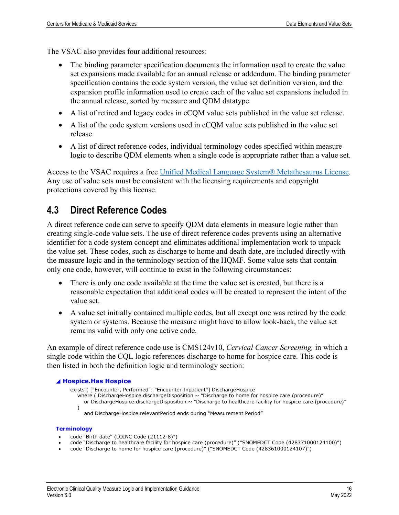The VSAC also provides four additional resources:

- The binding parameter specification documents the information used to create the value set expansions made available for an annual release or addendum. The binding parameter specification contains the code system version, the value set definition version, and the expansion profile information used to create each of the value set expansions included in the annual release, sorted by measure and QDM datatype.
- A list of retired and legacy codes in eCQM value sets published in the value set release.
- A list of the code system versions used in eCQM value sets published in the value set release.
- A list of direct reference codes, individual terminology codes specified within measure logic to describe QDM elements when a single code is appropriate rather than a value set.

Access to the VSAC requires a free [Unified Medical Language System® Metathesaurus License.](https://nam12.safelinks.protection.outlook.com/?url=https%3A%2F%2Fwww.nlm.nih.gov%2Fresearch%2Fumls%2Findex.html%3F_gl%3D1*m7sdtq*_ga*Njg0MjMxNDk2LjE2NDE1ODg2NDk.*_ga_7147EPK006*MTY0NzM2Njg3MC4xLjEuMTY0NzM2NzU2Ny4w&data=04%7C01%7CCCastro%40mathematica-mpr.com%7C49589fae64564465caa208da06aee0bc%7C13af8d650b4b4c0fa446a427419abfd6%7C0%7C0%7C637829645423102121%7CUnknown%7CTWFpbGZsb3d8eyJWIjoiMC4wLjAwMDAiLCJQIjoiV2luMzIiLCJBTiI6Ik1haWwiLCJXVCI6Mn0%3D%7C3000&sdata=PoeC7uaGAt3OKz%2FTKoPmCpKmQQYI0EcM3sccgZrFcww%3D&reserved=0) Any use of value sets must be consistent with the licensing requirements and copyright protections covered by this license.

## <span id="page-19-0"></span>**4.3 Direct Reference Codes**

A direct reference code can serve to specify QDM data elements in measure logic rather than creating single-code value sets. The use of direct reference codes prevents using an alternative identifier for a code system concept and eliminates additional implementation work to unpack the value set. These codes, such as discharge to home and death date, are included directly with the measure logic and in the terminology section of the HQMF. Some value sets that contain only one code, however, will continue to exist in the following circumstances:

- There is only one code available at the time the value set is created, but there is a reasonable expectation that additional codes will be created to represent the intent of the value set.
- A value set initially contained multiple codes, but all except one was retired by the code system or systems. Because the measure might have to allow look-back, the value set remains valid with only one active code.

An example of direct reference code use is CMS124v10, *Cervical Cancer Screening,* in which a single code within the CQL logic references discharge to home for hospice care. This code is then listed in both the definition logic and terminology section:

#### ◢ **Hospice.Has Hospice**

exists ( ["Encounter, Performed": "Encounter Inpatient"] DischargeHospice

where ( DischargeHospice.dischargeDisposition ~ "Discharge to home for hospice care (procedure)"

or DischargeHospice.dischargeDisposition  $\sim$  "Discharge to healthcare facility for hospice care (procedure)" )

and DischargeHospice.relevantPeriod ends during "Measurement Period"

#### **Terminology**

- code "Birth date" (LOINC Code (21112-8)")
- code "Discharge to healthcare facility for hospice care (procedure)" ("SNOMEDCT Code (428371000124100)")
- code "Discharge to home for hospice care (procedure)" ("SNOMEDCT Code (428361000124107)")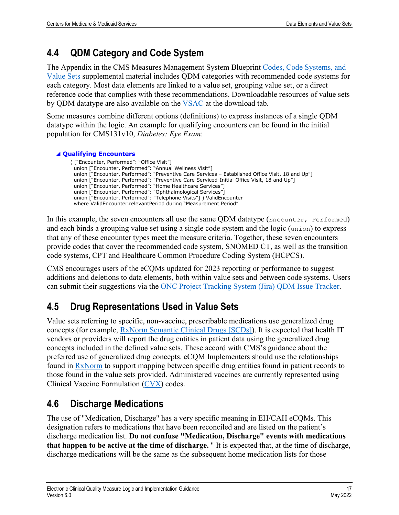## <span id="page-20-0"></span>**4.4 QDM Category and Code System**

The Appendix in the CMS Measures Management System Blueprint [Codes, Code Systems, and](https://www.cms.gov/files/document/blueprint-codes-code-systems-value-sets.pdf)  [Value Sets](https://www.cms.gov/files/document/blueprint-codes-code-systems-value-sets.pdf) supplemental material includes QDM categories with recommended code systems for each category. Most data elements are linked to a value set, grouping value set, or a direct reference code that complies with these recommendations. Downloadable resources of value sets by QDM datatype are also available on the [VSAC](https://vsac.nlm.nih.gov/) at the download tab.

Some measures combine different options (definitions) to express instances of a single QDM datatype within the logic. An example for qualifying encounters can be found in the initial population for CMS131v10, *Diabetes: Eye Exam*:

#### ◢ **Qualifying Encounters**

 ( ["Encounter, Performed": "Office Visit"] union ["Encounter, Performed": "Annual Wellness Visit"] union ["Encounter, Performed": "Preventive Care Services – Established Office Visit, 18 and Up"] union ["Encounter, Performed": "Preventive Care Serviced-Initial Office Visit, 18 and Up"] union ["Encounter, Performed": "Home Healthcare Services"] union ["Encounter, Performed": "Ophthalmological Services"] union ["Encounter, Performed": "Telephone Visits"] ) ValidEncounter where ValidEncounter.relevantPeriod during "Measurement Period"

In this example, the seven encounters all use the same QDM datatype (Encounter, Performed) and each binds a grouping value set using a single code system and the logic (union) to express that any of these encounter types meet the measure criteria. Together, these seven encounters provide codes that cover the recommended code system, SNOMED CT, as well as the transition code systems, CPT and Healthcare Common Procedure Coding System (HCPCS).

CMS encourages users of the eCQMs updated for 2023 reporting or performance to suggest additions and deletions to data elements, both within value sets and between code systems. Users can submit their suggestions via the [ONC Project Tracking System \(Jira\) QDM Issue Tracker.](https://oncprojectracking.healthit.gov/support/projects/QDM/summary)

## <span id="page-20-1"></span>**4.5 Drug Representations Used in Value Sets**

Value sets referring to specific, non-vaccine, prescribable medications use generalized drug concepts (for example, [RxNorm Semantic Clinical Drugs \[SCDs\]\)](https://www.nlm.nih.gov/research/umls/rxnorm/docs/2015/appendix5.html). It is expected that health IT vendors or providers will report the drug entities in patient data using the generalized drug concepts included in the defined value sets. These accord with CMS's guidance about the preferred use of generalized drug concepts. eCQM Implementers should use the relationships found in [RxNorm](https://www.nlm.nih.gov/research/umls/rxnorm/index.html) to support mapping between specific drug entities found in patient records to those found in the value sets provided. Administered vaccines are currently represented using Clinical Vaccine Formulation [\(CVX\)](https://www2a.cdc.gov/vaccines/iis/iisstandards/vaccines.asp?rpt=cvx) codes.

## <span id="page-20-2"></span>**4.6 Discharge Medications**

The use of "Medication, Discharge" has a very specific meaning in EH/CAH eCQMs. This designation refers to medications that have been reconciled and are listed on the patient's discharge medication list. **Do not confuse "Medication, Discharge" events with medications that happen to be active at the time of discharge.** " It is expected that, at the time of discharge, discharge medications will be the same as the subsequent home medication lists for those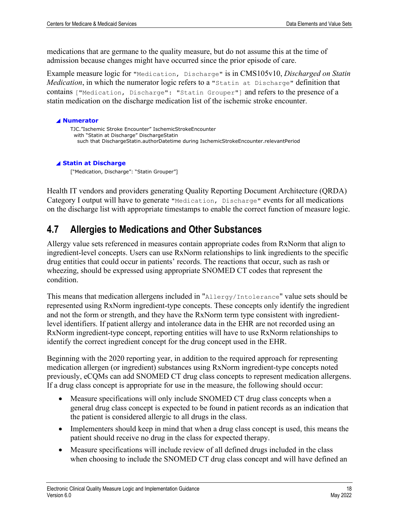medications that are germane to the quality measure, but do not assume this at the time of admission because changes might have occurred since the prior episode of care.

Example measure logic for "Medication, Discharge" is in CMS105v10, *Discharged on Statin Medication*, in which the numerator logic refers to a "Statin at Discharge" definition that contains ["Medication, Discharge": "Statin Grouper"] and refers to the presence of a statin medication on the discharge medication list of the ischemic stroke encounter.

```
◢ Numerator
     TJC."Ischemic Stroke Encounter" IschemicStrokeEncounter
       with "Statin at Discharge" DischargeStatin
        such that DischargeStatin.authorDatetime during IschemicStrokeEncounter.relevantPeriod 
◢ Statin at Discharge
```
["Medication, Discharge": "Statin Grouper"]

Health IT vendors and providers generating Quality Reporting Document Architecture (QRDA) Category I output will have to generate "Medication, Discharge" events for all medications on the discharge list with appropriate timestamps to enable the correct function of measure logic.

## <span id="page-21-0"></span>**4.7 Allergies to Medications and Other Substances**

Allergy value sets referenced in measures contain appropriate codes from RxNorm that align to ingredient-level concepts. Users can use RxNorm relationships to link ingredients to the specific drug entities that could occur in patients' records. The reactions that occur, such as rash or wheezing, should be expressed using appropriate SNOMED CT codes that represent the condition.

This means that medication allergens included in "Allergy/Intolerance" value sets should be represented using RxNorm ingredient-type concepts. These concepts only identify the ingredient and not the form or strength, and they have the RxNorm term type consistent with ingredientlevel identifiers. If patient allergy and intolerance data in the EHR are not recorded using an RxNorm ingredient-type concept, reporting entities will have to use RxNorm relationships to identify the correct ingredient concept for the drug concept used in the EHR.

Beginning with the 2020 reporting year, in addition to the required approach for representing medication allergen (or ingredient) substances using RxNorm ingredient-type concepts noted previously, eCQMs can add SNOMED CT drug class concepts to represent medication allergens. If a drug class concept is appropriate for use in the measure, the following should occur:

- Measure specifications will only include SNOMED CT drug class concepts when a general drug class concept is expected to be found in patient records as an indication that the patient is considered allergic to all drugs in the class.
- Implementers should keep in mind that when a drug class concept is used, this means the patient should receive no drug in the class for expected therapy.
- Measure specifications will include review of all defined drugs included in the class when choosing to include the SNOMED CT drug class concept and will have defined an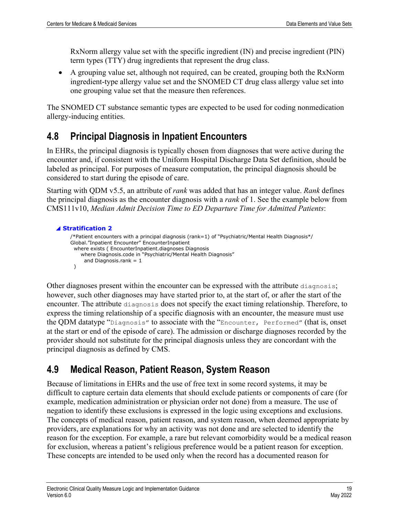RxNorm allergy value set with the specific ingredient (IN) and precise ingredient (PIN) term types (TTY) drug ingredients that represent the drug class.

• A grouping value set, although not required, can be created, grouping both the RxNorm ingredient-type allergy value set and the SNOMED CT drug class allergy value set into one grouping value set that the measure then references.

The SNOMED CT substance semantic types are expected to be used for coding nonmedication allergy-inducing entities.

## <span id="page-22-0"></span>**4.8 Principal Diagnosis in Inpatient Encounters**

In EHRs, the principal diagnosis is typically chosen from diagnoses that were active during the encounter and, if consistent with the Uniform Hospital Discharge Data Set definition, should be labeled as principal. For purposes of measure computation, the principal diagnosis should be considered to start during the episode of care.

Starting with QDM v5.5, an attribute of *rank* was added that has an integer value. *Rank* defines the principal diagnosis as the encounter diagnosis with a *rank* of 1. See the example below from CMS111v10, *Median Admit Decision Time to ED Departure Time for Admitted Patients*:

```
◢ Stratification 2
     /*Patient encounters with a principal diagnosis (rank=1) of "Psychiatric/Mental Health Diagnosis*/
     Global."Inpatient Encounter" EncounterInpatient
        where exists ( EncounterInpatient.diagnoses Diagnosis
          where Diagnosis.code in "Psychiatric/Mental Health Diagnosis"
          and Diagnosis.rank = 1 )
```
Other diagnoses present within the encounter can be expressed with the attribute diagnosis; however, such other diagnoses may have started prior to, at the start of, or after the start of the encounter. The attribute diagnosis does not specify the exact timing relationship. Therefore, to express the timing relationship of a specific diagnosis with an encounter, the measure must use the QDM datatype "Diagnosis" to associate with the "Encounter, Performed" (that is, onset at the start or end of the episode of care). The admission or discharge diagnoses recorded by the provider should not substitute for the principal diagnosis unless they are concordant with the principal diagnosis as defined by CMS.

## <span id="page-22-1"></span>**4.9 Medical Reason, Patient Reason, System Reason**

Because of limitations in EHRs and the use of free text in some record systems, it may be difficult to capture certain data elements that should exclude patients or components of care (for example, medication administration or physician order not done) from a measure. The use of negation to identify these exclusions is expressed in the logic using exceptions and exclusions. The concepts of medical reason, patient reason, and system reason, when deemed appropriate by providers, are explanations for why an activity was not done and are selected to identify the reason for the exception. For example, a rare but relevant comorbidity would be a medical reason for exclusion, whereas a patient's religious preference would be a patient reason for exception. These concepts are intended to be used only when the record has a documented reason for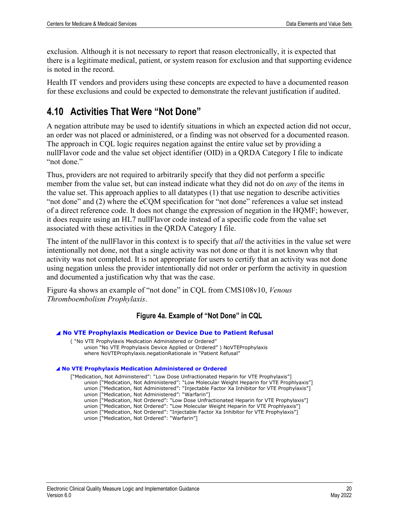exclusion. Although it is not necessary to report that reason electronically, it is expected that there is a legitimate medical, patient, or system reason for exclusion and that supporting evidence is noted in the record.

Health IT vendors and providers using these concepts are expected to have a documented reason for these exclusions and could be expected to demonstrate the relevant justification if audited.

## <span id="page-23-0"></span>**4.10 Activities That Were "Not Done"**

A negation attribute may be used to identify situations in which an expected action did not occur, an order was not placed or administered, or a finding was not observed for a documented reason. The approach in CQL logic requires negation against the entire value set by providing a nullFlavor code and the value set object identifier (OID) in a QRDA Category I file to indicate "not done."

Thus, providers are not required to arbitrarily specify that they did not perform a specific member from the value set, but can instead indicate what they did not do on *any* of the items in the value set. This approach applies to all datatypes (1) that use negation to describe activities "not done" and (2) where the eCQM specification for "not done" references a value set instead of a direct reference code. It does not change the expression of negation in the HQMF; however, it does require using an HL7 nullFlavor code instead of a specific code from the value set associated with these activities in the QRDA Category I file.

The intent of the nullFlavor in this context is to specify that *all* the activities in the value set were intentionally not done, not that a single activity was not done or that it is not known why that activity was not completed. It is not appropriate for users to certify that an activity was not done using negation unless the provider intentionally did not order or perform the activity in question and documented a justification why that was the case.

<span id="page-23-1"></span>Figure 4a shows an example of "not done" in CQL from CMS108v10, *Venous Thromboembolism Prophylaxis*.

### **Figure 4a. Example of "Not Done" in CQL**

◢ **No VTE Prophylaxis Medication or Device Due to Patient Refusal** ( "No VTE Prophylaxis Medication Administered or Ordered" union "No VTE Prophylaxis Device Applied or Ordered" ) NoVTEProphylaxis where NoVTEProphylaxis.negationRationale in "Patient Refusal" ◢ **No VTE Prophylaxis Medication Administered or Ordered** ["Medication, Not Administered": "Low Dose Unfractionated Heparin for VTE Prophylaxis"] union ["Medication, Not Administered": "Low Molecular Weight Heparin for VTE Prophlyaxis"] union ["Medication, Not Administered": "Injectable Factor Xa Inhibitor for VTE Prophylaxis"] union ["Medication, Not Administered": "Warfarin"] union ["Medication, Not Ordered": "Low Dose Unfractionated Heparin for VTE Prophylaxis"] union ["Medication, Not Ordered": "Low Molecular Weight Heparin for VTE Prophlyaxis"] union ["Medication, Not Ordered": "Injectable Factor Xa Inhibitor for VTE Prophylaxis"] union ["Medication, Not Ordered": "Warfarin"]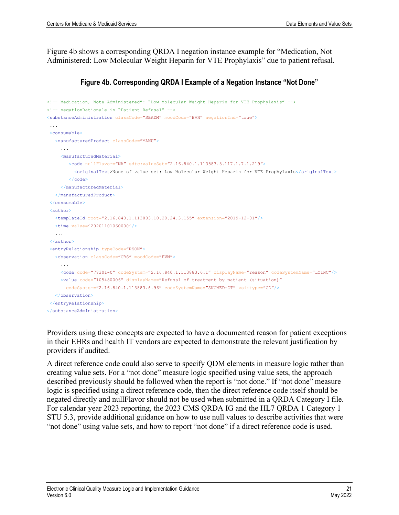Figure 4b shows a corresponding QRDA I negation instance example for "Medication, Not Administered: Low Molecular Weight Heparin for VTE Prophylaxis" due to patient refusal.

#### **Figure 4b. Corresponding QRDA I Example of a Negation Instance "Not Done"**

```
<!-- Medication, Note Administered": "Low Molecular Weight Heparin for VTE Prophylaxis" --> 
<!-- negationRationale in "Patient Refusal" --> 
<substanceAdministration classCode="SBADM" moodCode="EVN" negationInd="true">
...
<consumable>
   <manufacturedProduct classCode="MANU">
 ...
     <manufacturedMaterial>
        <code nullFlavor="NA" sdtc:valueSet="2.16.840.1.113883.3.117.1.7.1.219">
           <originalText>None of value set: Low Molecular Weight Heparin for VTE Prophylaxis</originalText>
       \langle \text{code} \rangle </manufacturedMaterial>
   </manufacturedProduct>
</consumable>
<author>
   <templateId root="2.16.840.1.113883.10.20.24.3.155" extension="2019-12-01"/>
   <time value='20201101060000'/>
   ...
</author>
<entryRelationship typeCode="RSON">
   <observation classCode="OBS" moodCode="EVN">
      ... 
     <code code="77301-0" codeSystem="2.16.840.1.113883.6.1" displayName="reason" codeSystemName="LOINC"/>
     <value code="105480006" displayName="Refusal of treatment by patient (situation)"
       codeSystem="2.16.840.1.113883.6.96" codeSystemName="SNOMED-CT" xsi:type="CD"/>
   </observation>
</entryRelationship>
</substanceAdministration>
```
Providers using these concepts are expected to have a documented reason for patient exceptions in their EHRs and health IT vendors are expected to demonstrate the relevant justification by providers if audited.

A direct reference code could also serve to specify QDM elements in measure logic rather than creating value sets. For a "not done" measure logic specified using value sets, the approach described previously should be followed when the report is "not done." If "not done" measure logic is specified using a direct reference code, then the direct reference code itself should be negated directly and nullFlavor should not be used when submitted in a QRDA Category I file. For calendar year 2023 reporting, the 2023 CMS QRDA IG and the HL7 QRDA 1 Category 1 STU 5.3, provide additional guidance on how to use null values to describe activities that were "not done" using value sets, and how to report "not done" if a direct reference code is used.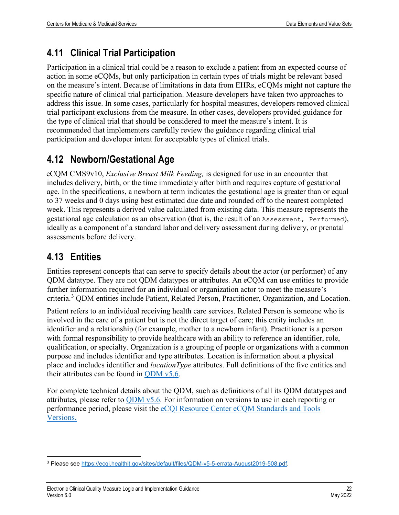## <span id="page-25-0"></span>**4.11 Clinical Trial Participation**

Participation in a clinical trial could be a reason to exclude a patient from an expected course of action in some eCQMs, but only participation in certain types of trials might be relevant based on the measure's intent. Because of limitations in data from EHRs, eCQMs might not capture the specific nature of clinical trial participation. Measure developers have taken two approaches to address this issue. In some cases, particularly for hospital measures, developers removed clinical trial participant exclusions from the measure. In other cases, developers provided guidance for the type of clinical trial that should be considered to meet the measure's intent. It is recommended that implementers carefully review the guidance regarding clinical trial participation and developer intent for acceptable types of clinical trials.

## <span id="page-25-1"></span>**4.12 Newborn/Gestational Age**

eCQM CMS9v10, *Exclusive Breast Milk Feeding,* is designed for use in an encounter that includes delivery, birth, or the time immediately after birth and requires capture of gestational age. In the specifications, a newborn at term indicates the gestational age is greater than or equal to 37 weeks and 0 days using best estimated due date and rounded off to the nearest completed week. This represents a derived value calculated from existing data. This measure represents the gestational age calculation as an observation (that is, the result of an Assessment, Performed), ideally as a component of a standard labor and delivery assessment during delivery, or prenatal assessments before delivery.

## <span id="page-25-2"></span>**4.13 Entities**

Entities represent concepts that can serve to specify details about the actor (or performer) of any QDM datatype. They are not QDM datatypes or attributes. An eCQM can use entities to provide further information required for an individual or organization actor to meet the measure's criteria.[3](#page-25-3) QDM entities include Patient, Related Person, Practitioner, Organization, and Location.

Patient refers to an individual receiving health care services. Related Person is someone who is involved in the care of a patient but is not the direct target of care; this entity includes an identifier and a relationship (for example, mother to a newborn infant). Practitioner is a person with formal responsibility to provide healthcare with an ability to reference an identifier, role, qualification, or specialty. Organization is a grouping of people or organizations with a common purpose and includes identifier and type attributes. Location is information about a physical place and includes identifier and *locationType* attributes. Full definitions of the five entities and their attributes can be found in  $QDM v5.6$ .

For complete technical details about the QDM, such as definitions of all its QDM datatypes and attributes*,* please refer to [QDM v5.6.](https://ecqi.healthit.gov/sites/default/files/QDM-v5.6-508.pdf) For information on versions to use in each reporting or performance period, please visit the eCQI Resource Center [eCQM Standards and Tools](https://ecqi.healthit.gov/ecqi-tools-key-resources?qt-teste=1)  [Versions.](https://ecqi.healthit.gov/ecqi-tools-key-resources?qt-teste=1)

<span id="page-25-3"></span><sup>3</sup> Please see [https://ecqi.healthit.gov/sites/default/files/QDM-v5-5-errata-August2019-508.pdf.](https://ecqi.healthit.gov/sites/default/files/QDM-v5-5-errata-August2019-508.pdf)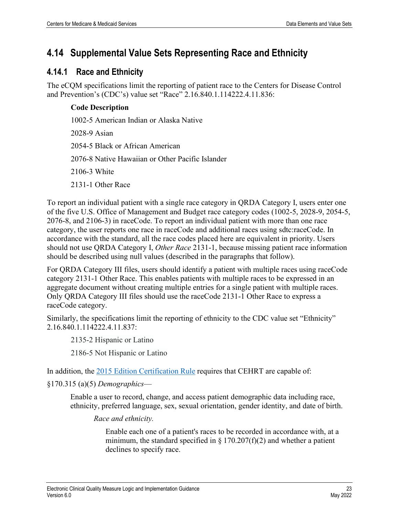## <span id="page-26-0"></span>**4.14 Supplemental Value Sets Representing Race and Ethnicity**

### <span id="page-26-1"></span>**4.14.1 Race and Ethnicity**

The eCQM specifications limit the reporting of patient race to the Centers for Disease Control and Prevention's (CDC's) value set "Race" 2.16.840.1.114222.4.11.836:

### **Code Description**

1002-5 American Indian or Alaska Native 2028-9 Asian 2054-5 Black or African American 2076-8 Native Hawaiian or Other Pacific Islander 2106-3 White 2131-1 Other Race

To report an individual patient with a single race category in QRDA Category I, users enter one of the five U.S. Office of Management and Budget race category codes (1002-5, 2028-9, 2054-5, 2076-8, and 2106-3) in raceCode. To report an individual patient with more than one race category, the user reports one race in raceCode and additional races using sdtc:raceCode. In accordance with the standard, all the race codes placed here are equivalent in priority. Users should not use QRDA Category I, *Other Race* 2131-1, because missing patient race information should be described using null values (described in the paragraphs that follow).

For QRDA Category III files, users should identify a patient with multiple races using raceCode category 2131-1 Other Race. This enables patients with multiple races to be expressed in an aggregate document without creating multiple entries for a single patient with multiple races. Only QRDA Category III files should use the raceCode 2131-1 Other Race to express a raceCode category.

Similarly, the specifications limit the reporting of ethnicity to the CDC value set "Ethnicity" 2.16.840.1.114222.4.11.837:

2135-2 Hispanic or Latino

2186-5 Not Hispanic or Latino

In addition, the [2015 Edition Certification Rule](https://www.govinfo.gov/content/pkg/FR-2015-10-16/pdf/2015-25597.pdf) requires that CEHRT are capable of:

§170.315 (a)(5) *Demographics*—

Enable a user to record, change, and access patient demographic data including race, ethnicity, preferred language, sex, sexual orientation, gender identity, and date of birth.

*Race and ethnicity.*

Enable each one of a patient's races to be recorded in accordance with, at a minimum, the standard specified in  $\S 170.207(f)(2)$  and whether a patient declines to specify race.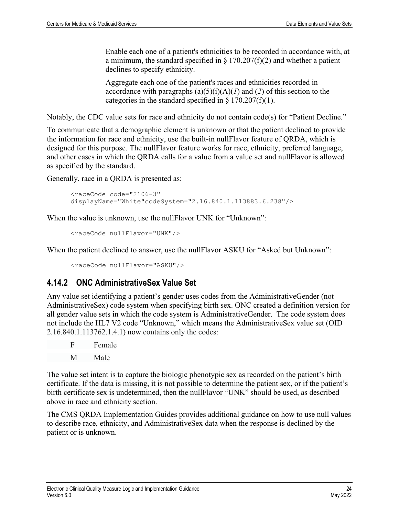Enable each one of a patient's ethnicities to be recorded in accordance with, at a minimum, the standard specified in  $\S 170.207(f)(2)$  and whether a patient declines to specify ethnicity.

Aggregate each one of the patient's races and ethnicities recorded in accordance with paragraphs  $(a)(5)(i)(A)(I)$  and  $(2)$  of this section to the categories in the standard specified in  $\S 170.207(f)(1)$ .

Notably, the CDC value sets for race and ethnicity do not contain code(s) for "Patient Decline."

To communicate that a demographic element is unknown or that the patient declined to provide the information for race and ethnicity, use the built-in nullFlavor feature of QRDA, which is designed for this purpose. The nullFlavor feature works for race, ethnicity, preferred language, and other cases in which the QRDA calls for a value from a value set and nullFlavor is allowed as specified by the standard.

Generally, race in a QRDA is presented as:

```
<raceCode code="2106-3" 
displayName="White"codeSystem="2.16.840.1.113883.6.238"/>
```
When the value is unknown, use the nullFlavor UNK for "Unknown":

```
<raceCode nullFlavor="UNK"/>
```
When the patient declined to answer, use the nullFlavor ASKU for "Asked but Unknown":

<raceCode nullFlavor="ASKU"/>

### <span id="page-27-0"></span>**4.14.2 ONC AdministrativeSex Value Set**

Any value set identifying a patient's gender uses codes from the AdministrativeGender (not AdministrativeSex) code system when specifying birth sex. ONC created a definition version for all gender value sets in which the code system is AdministrativeGender. The code system does not include the HL7 V2 code "Unknown," which means the AdministrativeSex value set (OID 2.16.840.1.113762.1.4.1) now contains only the codes:

F Female

```
 M Male
```
The value set intent is to capture the biologic phenotypic sex as recorded on the patient's birth certificate. If the data is missing, it is not possible to determine the patient sex, or if the patient's birth certificate sex is undetermined, then the nullFlavor "UNK" should be used, as described above in race and ethnicity section.

The CMS QRDA Implementation Guides provides additional guidance on how to use null values to describe race, ethnicity, and AdministrativeSex data when the response is declined by the patient or is unknown.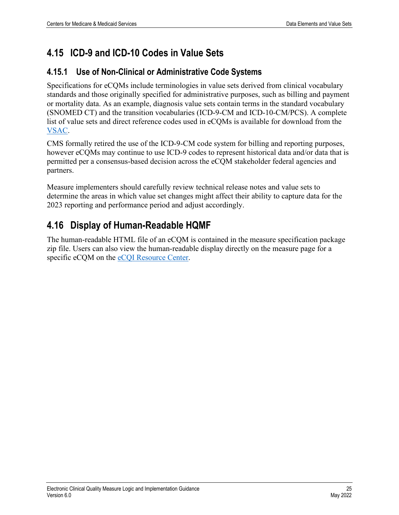## <span id="page-28-0"></span>**4.15 ICD-9 and ICD-10 Codes in Value Sets**

### <span id="page-28-1"></span>**4.15.1 Use of Non-Clinical or Administrative Code Systems**

Specifications for eCQMs include terminologies in value sets derived from clinical vocabulary standards and those originally specified for administrative purposes, such as billing and payment or mortality data. As an example, diagnosis value sets contain terms in the standard vocabulary (SNOMED CT) and the transition vocabularies (ICD-9-CM and ICD-10-CM/PCS). A complete list of value sets and direct reference codes used in eCQMs is available for download from the [VSAC.](https://vsac.nlm.nih.gov/download/ecqm)

CMS formally retired the use of the ICD-9-CM code system for billing and reporting purposes, however eCQMs may continue to use ICD-9 codes to represent historical data and/or data that is permitted per a consensus-based decision across the eCQM stakeholder federal agencies and partners.

Measure implementers should carefully review technical release notes and value sets to determine the areas in which value set changes might affect their ability to capture data for the 2023 reporting and performance period and adjust accordingly.

## <span id="page-28-2"></span>**4.16 Display of Human-Readable HQMF**

The human-readable HTML file of an eCQM is contained in the measure specification package zip file. Users can also view the human-readable display directly on the measure page for a specific eCQM on the [eCQI Resource Center.](https://ecqi.healthit.gov/)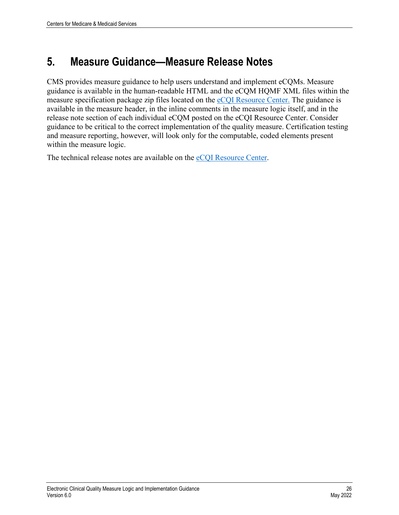## <span id="page-29-0"></span>**5. Measure Guidance—Measure Release Notes**

CMS provides measure guidance to help users understand and implement eCQMs. Measure guidance is available in the human-readable HTML and the eCQM HQMF XML files within the measure specification package zip files located on the [eCQI Resource Center.](https://ecqi.healthit.gov/) The guidance is available in the measure header, in the inline comments in the measure logic itself, and in the release note section of each individual eCQM posted on the eCQI Resource Center. Consider guidance to be critical to the correct implementation of the quality measure. Certification testing and measure reporting, however, will look only for the computable, coded elements present within the measure logic.

The technical release notes are available on the [eCQI Resource Center.](https://ecqi.healthit.gov/)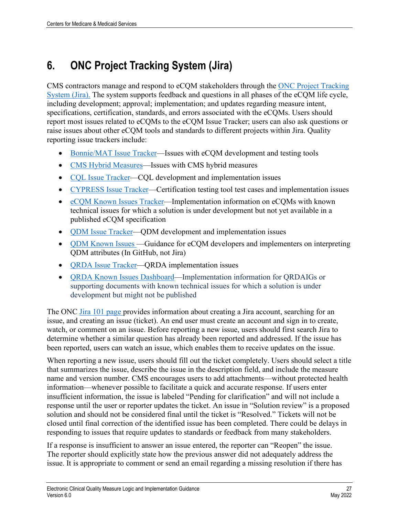# <span id="page-30-0"></span>**6. ONC Project Tracking System (Jira)**

CMS contractors manage and respond to eCQM stakeholders through the [ONC Project Tracking](https://oncprojectracking.healthit.gov/)  [System \(Jira\).](https://oncprojectracking.healthit.gov/) The system supports feedback and questions in all phases of the eCQM life cycle, including development; approval; implementation; and updates regarding measure intent, specifications, certification, standards, and errors associated with the eCQMs. Users should report most issues related to eCQMs to the eCQM Issue Tracker; users can also ask questions or raise issues about other eCQM tools and standards to different projects within Jira. Quality reporting issue trackers include:

- [Bonnie/MAT Issue Tracker—](https://oncprojectracking.healthit.gov/support/projects/BONNIE/summary)Issues with eCQM development and testing tools
- [CMS Hybrid Measures—](https://oncprojectracking.healthit.gov/support/projects/CHM/summary)Issues with CMS hybrid measures
- [CQL Issue Tracker—](https://oncprojectracking.healthit.gov/support/projects/CQLIT/summary)CQL development and implementation issues
- [CYPRESS Issue Tracker—](https://oncprojectracking.healthit.gov/support/projects/CYPRESS/summary)Certification testing tool test cases and implementation issues
- [eCQM Known Issues Tracker—](https://oncprojectracking.healthit.gov/support/projects/EKI/issues/EKI-9?filter=allopenissues)Implementation information on eCQMs with known technical issues for which a solution is under development but not yet available in a published eCQM specification
- [QDM Issue Tracker—](https://oncprojectracking.healthit.gov/support/projects/QDM/summary)QDM development and implementation issues
- **QDM** [Known Issues —](https://github.com/cqframework/CQL-Formatting-and-Usage-Wiki/wiki/QDM-Known-Issues)Guidance for eCQM developers and implementers on interpreting QDM attributes (In GitHub, not Jira)
- **QRDA** Issue Tracker—QRDA implementation issues
- [QRDA Known Issues Dashboard—](https://oncprojectracking.healthit.gov/support/secure/Dashboard.jspa?selectPageId=19401)Implementation information for QRDAIGs or supporting documents with known technical issues for which a solution is under development but might not be published

The ONC [Jira 101 page](https://oncprojectracking.healthit.gov/wiki/olp/learning-resources-194969613.html) provides information about creating a Jira account, searching for an issue, and creating an issue (ticket). An end user must create an account and sign in to create, watch, or comment on an issue. Before reporting a new issue, users should first search Jira to determine whether a similar question has already been reported and addressed. If the issue has been reported, users can watch an issue, which enables them to receive updates on the issue.

When reporting a new issue, users should fill out the ticket completely. Users should select a title that summarizes the issue, describe the issue in the description field, and include the measure name and version number. CMS encourages users to add attachments—without protected health information—whenever possible to facilitate a quick and accurate response. If users enter insufficient information, the issue is labeled "Pending for clarification" and will not include a response until the user or reporter updates the ticket. An issue in "Solution review" is a proposed solution and should not be considered final until the ticket is "Resolved." Tickets will not be closed until final correction of the identified issue has been completed. There could be delays in responding to issues that require updates to standards or feedback from many stakeholders.

If a response is insufficient to answer an issue entered, the reporter can "Reopen" the issue. The reporter should explicitly state how the previous answer did not adequately address the issue. It is appropriate to comment or send an email regarding a missing resolution if there has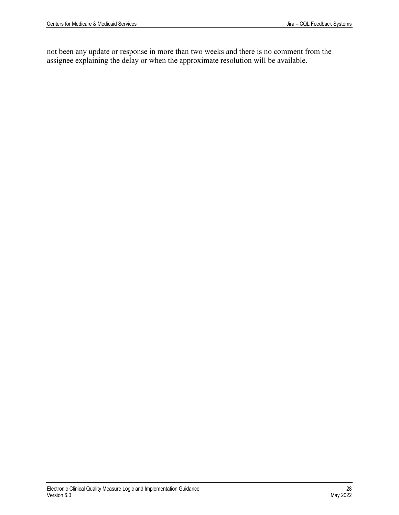not been any update or response in more than two weeks and there is no comment from the assignee explaining the delay or when the approximate resolution will be available.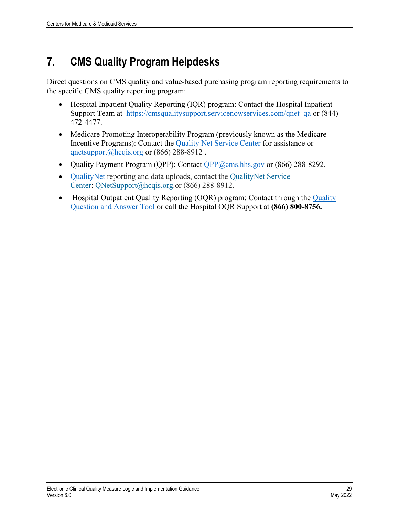# <span id="page-32-0"></span>**7. CMS Quality Program Helpdesks**

Direct questions on CMS quality and value-based purchasing program reporting requirements to the specific CMS quality reporting program:

- Hospital Inpatient Quality Reporting (IQR) program: Contact the Hospital Inpatient Support Team at [https://cmsqualitysupport.servicenowservices.com/qnet\\_qa](https://cmsqualitysupport.servicenowservices.com/qnet_qa) or (844) 472-4477.
- Medicare Promoting Interoperability Program (previously known as the Medicare Incentive Programs): Contact the [Quality Net Service Center](https://qualitynet.cms.gov/support) for assistance or [qnetsupport@hcqis.org](mailto:qnetsupport@hcqis.org) or (866) 288-8912.
- Quality Payment Program (QPP): Contact  $QPP@cms.hhs.gov$  or (866) 288-8292.
- [QualityNet](https://ecqi.healthit.gov/tool/qualitynet) reporting and data uploads, contact the [QualityNet](https://qualitynet.cms.gov/support) Service [Center:](https://qualitynet.cms.gov/support) [QNetSupport@hcqis.org.](mailto:QNetSupport@hcqis.org)or (866) 288-8912.
- Hospital Outpatient [Quality](https://cmsqualitysupport.servicenowservices.com/qnet_qa) Reporting (OQR) program: Contact through the Quality [Question and](https://cmsqualitysupport.servicenowservices.com/qnet_qa) Answer Tool or call the Hospital OQR Support at **(866) 800-8756.**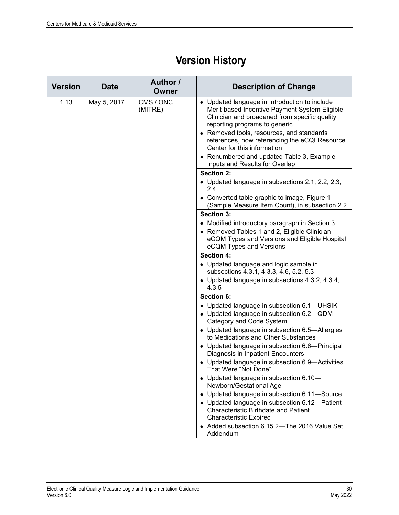# **Version History**

<span id="page-33-0"></span>

| <b>Version</b> | <b>Date</b>                         | Author /<br>Owner | <b>Description of Change</b>                                                                                                                                                                                                                                                                                                                                                                 |
|----------------|-------------------------------------|-------------------|----------------------------------------------------------------------------------------------------------------------------------------------------------------------------------------------------------------------------------------------------------------------------------------------------------------------------------------------------------------------------------------------|
| 1.13           | CMS / ONC<br>May 5, 2017<br>(MITRE) |                   | • Updated language in Introduction to include<br>Merit-based Incentive Payment System Eligible<br>Clinician and broadened from specific quality<br>reporting programs to generic<br>• Removed tools, resources, and standards<br>references, now referencing the eCQI Resource<br>Center for this information<br>• Renumbered and updated Table 3, Example<br>Inputs and Results for Overlap |
|                |                                     |                   | <b>Section 2:</b>                                                                                                                                                                                                                                                                                                                                                                            |
|                |                                     |                   | • Updated language in subsections 2.1, 2.2, 2.3,<br>2.4                                                                                                                                                                                                                                                                                                                                      |
|                |                                     |                   | • Converted table graphic to image, Figure 1<br>(Sample Measure Item Count), in subsection 2.2                                                                                                                                                                                                                                                                                               |
|                |                                     |                   | Section 3:                                                                                                                                                                                                                                                                                                                                                                                   |
|                |                                     |                   | • Modified introductory paragraph in Section 3                                                                                                                                                                                                                                                                                                                                               |
|                |                                     |                   | • Removed Tables 1 and 2, Eligible Clinician<br>eCQM Types and Versions and Eligible Hospital<br>eCQM Types and Versions                                                                                                                                                                                                                                                                     |
|                |                                     |                   | <b>Section 4:</b>                                                                                                                                                                                                                                                                                                                                                                            |
|                |                                     |                   | • Updated language and logic sample in<br>subsections 4.3.1, 4.3.3, 4.6, 5.2, 5.3                                                                                                                                                                                                                                                                                                            |
|                |                                     |                   | • Updated language in subsections 4.3.2, 4.3.4,<br>4.3.5                                                                                                                                                                                                                                                                                                                                     |
|                |                                     |                   | <b>Section 6:</b>                                                                                                                                                                                                                                                                                                                                                                            |
|                |                                     |                   | • Updated language in subsection 6.1-UHSIK<br>• Updated language in subsection 6.2-QDM<br>Category and Code System                                                                                                                                                                                                                                                                           |
|                |                                     |                   | • Updated language in subsection 6.5-Allergies<br>to Medications and Other Substances                                                                                                                                                                                                                                                                                                        |
|                |                                     |                   | • Updated language in subsection 6.6-Principal<br>Diagnosis in Inpatient Encounters                                                                                                                                                                                                                                                                                                          |
|                |                                     |                   | • Updated language in subsection 6.9-Activities<br>That Were "Not Done"                                                                                                                                                                                                                                                                                                                      |
|                |                                     |                   | • Updated language in subsection 6.10-<br>Newborn/Gestational Age                                                                                                                                                                                                                                                                                                                            |
|                |                                     |                   | • Updated language in subsection 6.11-Source                                                                                                                                                                                                                                                                                                                                                 |
|                |                                     |                   | • Updated language in subsection 6.12-Patient<br><b>Characteristic Birthdate and Patient</b><br><b>Characteristic Expired</b>                                                                                                                                                                                                                                                                |
|                |                                     |                   | • Added subsection 6.15.2-The 2016 Value Set<br>Addendum                                                                                                                                                                                                                                                                                                                                     |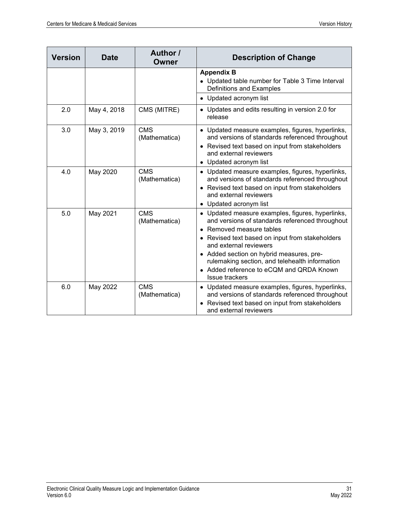| <b>Version</b> | Date        | <b>Author</b> /<br>Owner    | <b>Description of Change</b>                                                                                                                                                                                                                                                                                                                                                  |  |
|----------------|-------------|-----------------------------|-------------------------------------------------------------------------------------------------------------------------------------------------------------------------------------------------------------------------------------------------------------------------------------------------------------------------------------------------------------------------------|--|
|                |             |                             | <b>Appendix B</b><br>• Updated table number for Table 3 Time Interval<br>Definitions and Examples                                                                                                                                                                                                                                                                             |  |
|                |             |                             | • Updated acronym list                                                                                                                                                                                                                                                                                                                                                        |  |
| 2.0            | May 4, 2018 | CMS (MITRE)                 | • Updates and edits resulting in version 2.0 for<br>release                                                                                                                                                                                                                                                                                                                   |  |
| 3.0            | May 3, 2019 | <b>CMS</b><br>(Mathematica) | • Updated measure examples, figures, hyperlinks,<br>and versions of standards referenced throughout<br>• Revised text based on input from stakeholders<br>and external reviewers<br>• Updated acronym list                                                                                                                                                                    |  |
| 4.0            | May 2020    | <b>CMS</b><br>(Mathematica) | • Updated measure examples, figures, hyperlinks,<br>and versions of standards referenced throughout<br>• Revised text based on input from stakeholders<br>and external reviewers<br>• Updated acronym list                                                                                                                                                                    |  |
| 5.0            | May 2021    | <b>CMS</b><br>(Mathematica) | • Updated measure examples, figures, hyperlinks,<br>and versions of standards referenced throughout<br>Removed measure tables<br>• Revised text based on input from stakeholders<br>and external reviewers<br>• Added section on hybrid measures, pre-<br>rulemaking section, and telehealth information<br>• Added reference to eCQM and QRDA Known<br><b>Issue trackers</b> |  |
| 6.0            | May 2022    | <b>CMS</b><br>(Mathematica) | • Updated measure examples, figures, hyperlinks,<br>and versions of standards referenced throughout<br>• Revised text based on input from stakeholders<br>and external reviewers                                                                                                                                                                                              |  |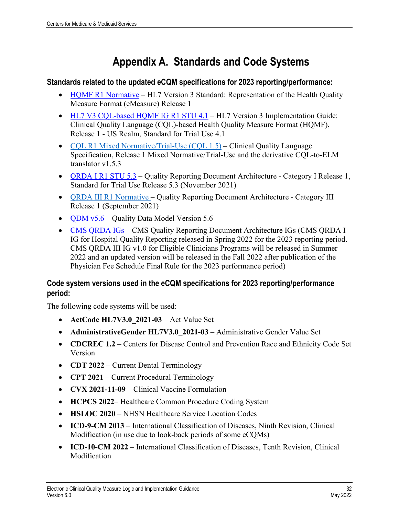# **Appendix A. Standards and Code Systems**

#### <span id="page-35-0"></span>**Standards related to the updated eCQM specifications for 2023 reporting/performance:**

- HOMF R1 Normative HL7 Version 3 Standard: Representation of the Health Quality Measure Format (eMeasure) Release 1
- [HL7 V3 CQL-based HQMF IG R1 STU 4](http://www.hl7.org/implement/standards/product_brief.cfm?product_id=405).1 HL7 Version 3 Implementation Guide: Clinical Quality Language (CQL)-based Health Quality Measure Format (HQMF), Release 1 - US Realm, Standard for Trial Use 4.1
- [CQL R1 Mixed Normative/Trial-Use \(CQL 1.5\)](http://cql.hl7.org/) Clinical Quality Language Specification, Release 1 Mixed Normative/Trial-Use and the derivative CQL-to-ELM translator v1.5.3
- ORDA I R1 STU 5.3 Quality Reporting Document Architecture Category I Release 1, Standard for Trial Use Release 5.3 (November 2021)
- ORDA III R1 Normative Quality Reporting Document Architecture Category III Release 1 (September 2021)
- [QDM v5.6](https://ecqi.healthit.gov/qdm-quality-data-model) Quality Data Model Version  $5.6$
- CMS ORDA IGs CMS Quality Reporting Document Architecture IGs (CMS ORDA I IG for Hospital Quality Reporting released in Spring 2022 for the 2023 reporting period. CMS QRDA III IG v1.0 for Eligible Clinicians Programs will be released in Summer 2022 and an updated version will be released in the Fall 2022 after publication of the Physician Fee Schedule Final Rule for the 2023 performance period)

### **Code system versions used in the eCQM specifications for 2023 reporting/performance period:**

The following code systems will be used:

- **ActCode HL7V3.0\_2021-03**  Act Value Set
- **AdministrativeGender HL7V3.0\_2021-03** Administrative Gender Value Set
- **CDCREC 1.2** Centers for Disease Control and Prevention Race and Ethnicity Code Set Version
- **CDT 2022** Current Dental Terminology
- **CPT 2021** Current Procedural Terminology
- **CVX 2021-11-09** Clinical Vaccine Formulation
- **HCPCS 2022** Healthcare Common Procedure Coding System
- **HSLOC 2020** NHSN Healthcare Service Location Codes
- **ICD-9-CM 2013** International Classification of Diseases, Ninth Revision, Clinical Modification (in use due to look-back periods of some eCQMs)
- **ICD-10-CM 2022** International Classification of Diseases, Tenth Revision, Clinical Modification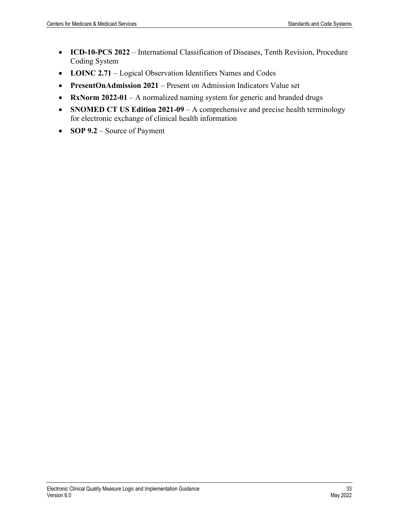- **ICD-10-PCS 2022** International Classification of Diseases, Tenth Revision, Procedure Coding System
- **LOINC 2.71** Logical Observation Identifiers Names and Codes
- **PresentOnAdmission 2021** Present on Admission Indicators Value set
- **RxNorm 2022-01** A normalized naming system for generic and branded drugs
- **SNOMED CT US Edition 2021-09** A comprehensive and precise health terminology for electronic exchange of clinical health information
- **SOP 9.2** Source of Payment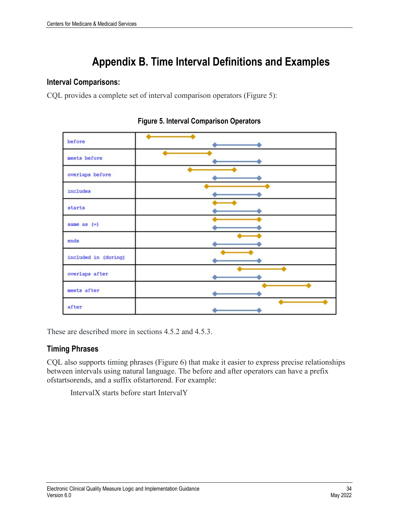# **Appendix B. Time Interval Definitions and Examples**

### <span id="page-37-0"></span>**Interval Comparisons:**

CQL provides a complete set of interval comparison operators (Figure 5):

<span id="page-37-1"></span>

| before               |  |
|----------------------|--|
| meets before         |  |
| overlaps before      |  |
| includes             |  |
| starts               |  |
| same as $(=)$        |  |
| ends                 |  |
| included in (during) |  |
| overlaps after       |  |
| meets after          |  |
| after                |  |

**Figure 5. Interval Comparison Operators**

These are described more in sections 4.5.2 and 4.5.3.

### **Timing Phrases**

CQL also supports timing phrases (Figure 6) that make it easier to express precise relationships between intervals using natural language. The before and after operators can have a prefix ofstartsorends, and a suffix ofstartorend. For example:

IntervalX starts before start IntervalY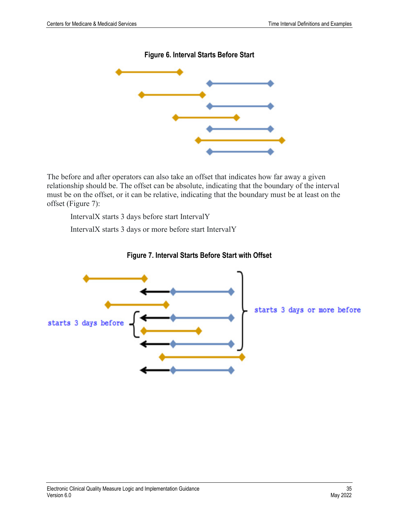**Figure 6. Interval Starts Before Start**

<span id="page-38-0"></span>

The before and after operators can also take an offset that indicates how far away a given relationship should be. The offset can be absolute, indicating that the boundary of the interval must be on the offset, or it can be relative, indicating that the boundary must be at least on the offset (Figure 7):

IntervalX starts 3 days before start IntervalY

IntervalX starts 3 days or more before start IntervalY

<span id="page-38-1"></span>

#### **Figure 7. Interval Starts Before Start with Offset**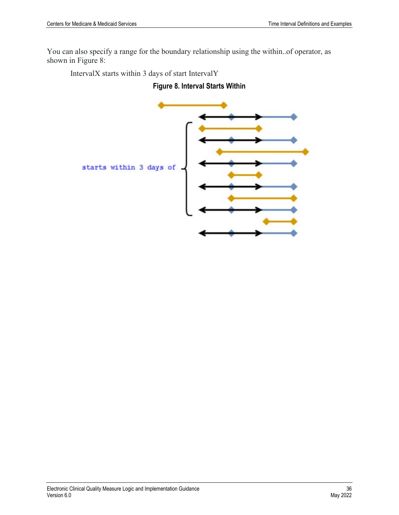You can also specify a range for the boundary relationship using the within..of operator, as shown in Figure 8:

<span id="page-39-0"></span>IntervalX starts within 3 days of start IntervalY

### **Figure 8. Interval Starts Within**

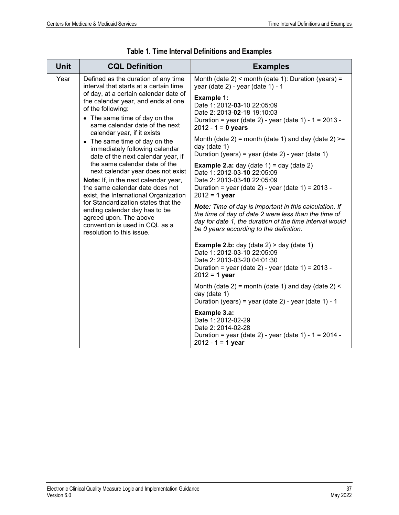<span id="page-40-0"></span>

| Unit | <b>CQL Definition</b>                                                                                                                                                                                                                                                                                                                                                                                                                                                                                                                                                                                                                                                                                                                                   | <b>Examples</b>                                                                                                                                                                                                                                                                                                                                                                                                                                                                                                                                                                                                                                                                                                       |
|------|---------------------------------------------------------------------------------------------------------------------------------------------------------------------------------------------------------------------------------------------------------------------------------------------------------------------------------------------------------------------------------------------------------------------------------------------------------------------------------------------------------------------------------------------------------------------------------------------------------------------------------------------------------------------------------------------------------------------------------------------------------|-----------------------------------------------------------------------------------------------------------------------------------------------------------------------------------------------------------------------------------------------------------------------------------------------------------------------------------------------------------------------------------------------------------------------------------------------------------------------------------------------------------------------------------------------------------------------------------------------------------------------------------------------------------------------------------------------------------------------|
| Year | Defined as the duration of any time<br>interval that starts at a certain time<br>of day, at a certain calendar date of<br>the calendar year, and ends at one<br>of the following:<br>• The same time of day on the<br>same calendar date of the next<br>calendar year, if it exists<br>• The same time of day on the<br>immediately following calendar<br>date of the next calendar year, if<br>the same calendar date of the<br>next calendar year does not exist<br>Note: If, in the next calendar year,<br>the same calendar date does not<br>exist, the International Organization<br>for Standardization states that the<br>ending calendar day has to be<br>agreed upon. The above<br>convention is used in CQL as a<br>resolution to this issue. | Month (date $2$ ) < month (date 1): Duration (years) =<br>year (date 2) - year (date 1) - 1                                                                                                                                                                                                                                                                                                                                                                                                                                                                                                                                                                                                                           |
|      |                                                                                                                                                                                                                                                                                                                                                                                                                                                                                                                                                                                                                                                                                                                                                         | Example 1:<br>Date 1: 2012-03-10 22:05:09<br>Date 2: 2013-02-18 19:10:03<br>Duration = year (date 2) - year (date 1) - $1 = 2013$ -<br>$2012 - 1 = 0$ years<br>Month (date 2) = month (date 1) and day (date $2$ ) >=<br>day (date 1)<br>Duration (years) = year (date $2$ ) - year (date 1)<br><b>Example 2.a:</b> day (date $1$ ) = day (date $2$ )<br>Date 1: 2012-03-10 22:05:09<br>Date 2: 2013-03-10 22:05:09<br>Duration = year (date 2) - year (date 1) = $2013$ -<br>$2012 = 1$ year<br>Note: Time of day is important in this calculation. If<br>the time of day of date 2 were less than the time of<br>day for date 1, the duration of the time interval would<br>be 0 years according to the definition. |
|      |                                                                                                                                                                                                                                                                                                                                                                                                                                                                                                                                                                                                                                                                                                                                                         | <b>Example 2.b:</b> day (date $2$ ) > day (date 1)<br>Date 1: 2012-03-10 22:05:09<br>Date 2: 2013-03-20 04:01:30<br>Duration = year (date $2$ ) - year (date $1$ ) = 2013 -<br>$2012 = 1$ year                                                                                                                                                                                                                                                                                                                                                                                                                                                                                                                        |
|      |                                                                                                                                                                                                                                                                                                                                                                                                                                                                                                                                                                                                                                                                                                                                                         | Month (date 2) = month (date 1) and day (date $2$ ) <<br>day (date 1)<br>Duration (years) = year (date 2) - year (date 1) - 1                                                                                                                                                                                                                                                                                                                                                                                                                                                                                                                                                                                         |
|      |                                                                                                                                                                                                                                                                                                                                                                                                                                                                                                                                                                                                                                                                                                                                                         | Example 3.a:<br>Date 1: 2012-02-29<br>Date 2: 2014-02-28<br>Duration = year (date 2) - year (date 1) - $1 = 2014$ -<br>$2012 - 1 = 1$ year                                                                                                                                                                                                                                                                                                                                                                                                                                                                                                                                                                            |

|  |  | Table 1. Time Interval Definitions and Examples |  |  |
|--|--|-------------------------------------------------|--|--|
|--|--|-------------------------------------------------|--|--|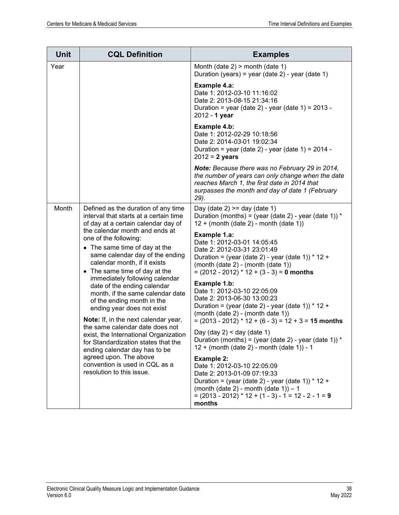| Unit  | <b>CQL Definition</b>                                                                                                                                                                                                                                                                                                                                                                                                                                                                                                                                                                                                                                                                                                                                                      | <b>Examples</b>                                                                                                                                                                                                                                                                                                                                                     |
|-------|----------------------------------------------------------------------------------------------------------------------------------------------------------------------------------------------------------------------------------------------------------------------------------------------------------------------------------------------------------------------------------------------------------------------------------------------------------------------------------------------------------------------------------------------------------------------------------------------------------------------------------------------------------------------------------------------------------------------------------------------------------------------------|---------------------------------------------------------------------------------------------------------------------------------------------------------------------------------------------------------------------------------------------------------------------------------------------------------------------------------------------------------------------|
| Year  |                                                                                                                                                                                                                                                                                                                                                                                                                                                                                                                                                                                                                                                                                                                                                                            | Month (date $2$ ) > month (date 1)<br>Duration (years) = year (date 2) - year (date 1)                                                                                                                                                                                                                                                                              |
|       |                                                                                                                                                                                                                                                                                                                                                                                                                                                                                                                                                                                                                                                                                                                                                                            | Example 4.a:<br>Date 1: 2012-03-10 11:16:02<br>Date 2: 2013-08-15 21:34:16<br>Duration = year (date 2) - year (date 1) = $2013$ -<br>2012 - 1 year                                                                                                                                                                                                                  |
|       |                                                                                                                                                                                                                                                                                                                                                                                                                                                                                                                                                                                                                                                                                                                                                                            | Example 4.b:<br>Date 1: 2012-02-29 10:18:56<br>Date 2: 2014-03-01 19:02:34<br>Duration = year (date 2) - year (date 1) = $2014$ -<br>$2012 = 2$ years                                                                                                                                                                                                               |
|       |                                                                                                                                                                                                                                                                                                                                                                                                                                                                                                                                                                                                                                                                                                                                                                            | Note: Because there was no February 29 in 2014,<br>the number of years can only change when the date<br>reaches March 1, the first date in 2014 that<br>surpasses the month and day of date 1 (February<br>29).                                                                                                                                                     |
| Month | Defined as the duration of any time<br>interval that starts at a certain time<br>of day at a certain calendar day of<br>the calendar month and ends at<br>one of the following:<br>• The same time of day at the<br>same calendar day of the ending<br>calendar month, if it exists<br>• The same time of day at the<br>immediately following calendar<br>date of the ending calendar<br>month, if the same calendar date<br>of the ending month in the<br>ending year does not exist<br>Note: If, in the next calendar year,<br>the same calendar date does not<br>exist, the International Organization<br>for Standardization states that the<br>ending calendar day has to be<br>agreed upon. The above<br>convention is used in CQL as a<br>resolution to this issue. | Day (date $2$ ) >= day (date 1)<br>Duration (months) = (year (date 2) - year (date 1)) $*$<br>$12 + (month (date 2) - month (date 1))$<br>Example 1.a:<br>Date 1: 2012-03-01 14:05:45<br>Date 2: 2012-03-31 23:01:49<br>Duration = (year (date 2) - year (date 1)) $*$ 12 +<br>(month (date $2$ ) - (month (date 1))<br>$= (2012 - 2012)^* 12 + (3 - 3) = 0$ months |
|       |                                                                                                                                                                                                                                                                                                                                                                                                                                                                                                                                                                                                                                                                                                                                                                            | Example 1.b:<br>Date 1: 2012-03-10 22:05:09<br>Date 2: 2013-06-30 13:00:23<br>Duration = (year (date 2) - year (date 1)) * 12 +<br>(month (date 2) - (month date 1))                                                                                                                                                                                                |
|       |                                                                                                                                                                                                                                                                                                                                                                                                                                                                                                                                                                                                                                                                                                                                                                            | $= (2013 - 2012)^* 12 + (6 - 3) = 12 + 3 = 15$ months<br>Day (day $2$ ) < day (date 1)<br>Duration (months) = (year (date 2) - year (date 1)) $*$<br>12 + (month (date 2) - month (date 1)) - 1                                                                                                                                                                     |
|       |                                                                                                                                                                                                                                                                                                                                                                                                                                                                                                                                                                                                                                                                                                                                                                            | <b>Example 2:</b><br>Date 1: 2012-03-10 22:05:09<br>Date 2: 2013-01-09 07:19:33<br>Duration = (year (date 2) - year (date 1)) $*$ 12 +<br>(month (date 2) - month (date 1)) $-1$<br>$= (2013 - 2012) * 12 + (1 - 3) - 1 = 12 - 2 - 1 = 9$<br>months                                                                                                                 |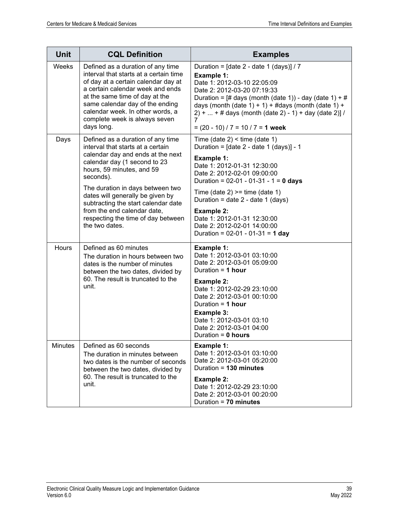| <b>Unit</b>    | <b>CQL Definition</b>                                                                                                                                                                                                                                                                                          | <b>Examples</b>                                                                                                                                                                                                                                                                                                                                                                                                          |
|----------------|----------------------------------------------------------------------------------------------------------------------------------------------------------------------------------------------------------------------------------------------------------------------------------------------------------------|--------------------------------------------------------------------------------------------------------------------------------------------------------------------------------------------------------------------------------------------------------------------------------------------------------------------------------------------------------------------------------------------------------------------------|
| Weeks          | Defined as a duration of any time<br>interval that starts at a certain time<br>of day at a certain calendar day at<br>a certain calendar week and ends<br>at the same time of day at the<br>same calendar day of the ending<br>calendar week. In other words, a<br>complete week is always seven<br>days long. | Duration = $\lceil$ date 2 - date 1 (days) $\lceil$ / 7<br>Example 1:<br>Date 1: 2012-03-10 22:05:09<br>Date 2: 2012-03-20 07:19:33<br>Duration = $\left[\frac{\text{# days}}{\text{month}}\right]$ (date 1)) - day (date 1) + $\frac{\text{#}}{\text{#}}$<br>days (month (date 1) + 1) + #days (month (date 1) +<br>$2) +  + #$ days (month (date 2) - 1) + day (date 2)] /<br>7<br>$= (20 - 10) / 7 = 10 / 7 = 1$ week |
| Days           | Defined as a duration of any time<br>interval that starts at a certain<br>calendar day and ends at the next<br>calendar day (1 second to 23<br>hours, 59 minutes, and 59<br>seconds).                                                                                                                          | Time (date $2$ ) < time (date 1)<br>Duration = $[date 2 - date 1 (days)] - 1$<br><b>Example 1:</b><br>Date 1: 2012-01-31 12:30:00<br>Date 2: 2012-02-01 09:00:00                                                                                                                                                                                                                                                         |
|                | The duration in days between two<br>dates will generally be given by<br>subtracting the start calendar date<br>from the end calendar date,<br>respecting the time of day between<br>the two dates.                                                                                                             | Duration = $02-01 - 01-31 - 1 = 0$ days<br>Time (date 2) $>=$ time (date 1)<br>Duration = date $2$ - date 1 (days)<br><b>Example 2:</b><br>Date 1: 2012-01-31 12:30:00<br>Date 2: 2012-02-01 14:00:00<br>Duration = 02-01 - 01-31 = 1 day                                                                                                                                                                                |
| Hours          | Defined as 60 minutes<br>The duration in hours between two<br>dates is the number of minutes<br>between the two dates, divided by<br>60. The result is truncated to the<br>unit.                                                                                                                               | <b>Example 1:</b><br>Date 1: 2012-03-01 03:10:00<br>Date 2: 2012-03-01 05:09:00<br>Duration = $1$ hour<br><b>Example 2:</b><br>Date 1: 2012-02-29 23:10:00<br>Date 2: 2012-03-01 00:10:00<br>Duration = $1$ hour<br><b>Example 3:</b><br>Date 1: 2012-03-01 03:10<br>Date 2: 2012-03-01 04:00<br>Duration = $0$ hours                                                                                                    |
| <b>Minutes</b> | Defined as 60 seconds<br>The duration in minutes between<br>two dates is the number of seconds<br>between the two dates, divided by<br>60. The result is truncated to the<br>unit.                                                                                                                             | Example 1:<br>Date 1: 2012-03-01 03:10:00<br>Date 2: 2012-03-01 05:20:00<br>Duration = 130 minutes<br><b>Example 2:</b><br>Date 1: 2012-02-29 23:10:00<br>Date 2: 2012-03-01 00:20:00<br>Duration = 70 minutes                                                                                                                                                                                                           |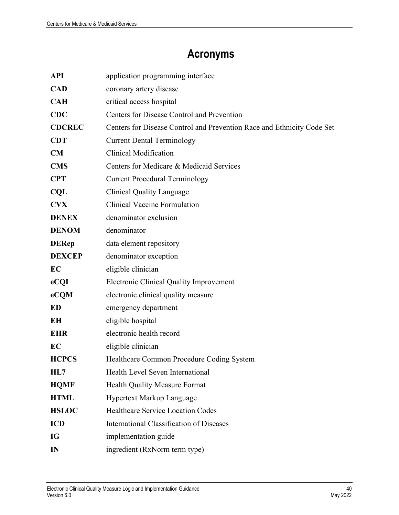# **Acronyms**

<span id="page-43-0"></span>

| <b>API</b>    | application programming interface                                      |  |
|---------------|------------------------------------------------------------------------|--|
| <b>CAD</b>    | coronary artery disease                                                |  |
| <b>CAH</b>    | critical access hospital                                               |  |
| <b>CDC</b>    | Centers for Disease Control and Prevention                             |  |
| <b>CDCREC</b> | Centers for Disease Control and Prevention Race and Ethnicity Code Set |  |
| <b>CDT</b>    | <b>Current Dental Terminology</b>                                      |  |
| CM            | <b>Clinical Modification</b>                                           |  |
| <b>CMS</b>    | Centers for Medicare & Medicaid Services                               |  |
| <b>CPT</b>    | <b>Current Procedural Terminology</b>                                  |  |
| <b>CQL</b>    | <b>Clinical Quality Language</b>                                       |  |
| <b>CVX</b>    | <b>Clinical Vaccine Formulation</b>                                    |  |
| <b>DENEX</b>  | denominator exclusion                                                  |  |
| <b>DENOM</b>  | denominator                                                            |  |
| <b>DERep</b>  | data element repository                                                |  |
| <b>DEXCEP</b> | denominator exception                                                  |  |
| EC            | eligible clinician                                                     |  |
| eCQI          | <b>Electronic Clinical Quality Improvement</b>                         |  |
| eCQM          | electronic clinical quality measure                                    |  |
| ED            | emergency department                                                   |  |
| EH            | eligible hospital                                                      |  |
| <b>EHR</b>    | electronic health record                                               |  |
| EC            | eligible clinician                                                     |  |
| <b>HCPCS</b>  | Healthcare Common Procedure Coding System                              |  |
| HL7           | Health Level Seven International                                       |  |
| <b>HQMF</b>   | <b>Health Quality Measure Format</b>                                   |  |
| <b>HTML</b>   | Hypertext Markup Language                                              |  |
| <b>HSLOC</b>  | <b>Healthcare Service Location Codes</b>                               |  |
| <b>ICD</b>    | International Classification of Diseases                               |  |
| IG            | implementation guide                                                   |  |
| IN            | ingredient (RxNorm term type)                                          |  |